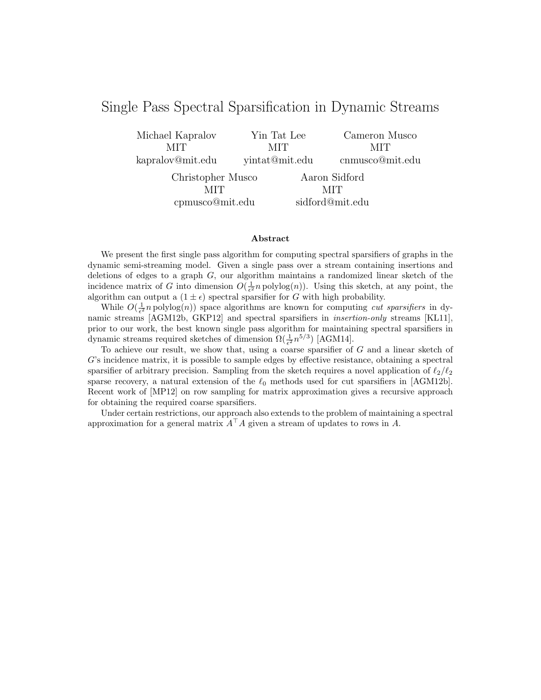# Single Pass Spectral Sparsification in Dynamic Streams

Michael Kapralov MIT kapralov@mit.edu Yin Tat Lee MIT yintat@mit.edu Cameron Musco MIT cnmusco@mit.edu Christopher Musco MIT cpmusco@mit.edu Aaron Sidford MIT sidford@mit.edu

#### Abstract

We present the first single pass algorithm for computing spectral sparsifiers of graphs in the dynamic semi-streaming model. Given a single pass over a stream containing insertions and deletions of edges to a graph  $G$ , our algorithm maintains a randomized linear sketch of the incidence matrix of G into dimension  $O(\frac{1}{\epsilon^2}n \text{ polylog}(n))$ . Using this sketch, at any point, the algorithm can output a  $(1 \pm \epsilon)$  spectral sparsifier for G with high probability.

While  $O(\frac{1}{\epsilon^2}n \text{ polylog}(n))$  space algorithms are known for computing *cut sparsifiers* in dynamic streams [AGM12b, GKP12] and spectral sparsifiers in insertion-only streams [KL11], prior to our work, the best known single pass algorithm for maintaining spectral sparsifiers in dynamic streams required sketches of dimension  $\Omega(\frac{1}{\epsilon^2}n^{5/3})$  [AGM14].

To achieve our result, we show that, using a coarse sparsifier of G and a linear sketch of G's incidence matrix, it is possible to sample edges by effective resistance, obtaining a spectral sparsifier of arbitrary precision. Sampling from the sketch requires a novel application of  $\ell_2/\ell_2$ sparse recovery, a natural extension of the  $\ell_0$  methods used for cut sparsifiers in [AGM12b]. Recent work of [MP12] on row sampling for matrix approximation gives a recursive approach for obtaining the required coarse sparsifiers.

Under certain restrictions, our approach also extends to the problem of maintaining a spectral approximation for a general matrix  $A^{\top}A$  given a stream of updates to rows in A.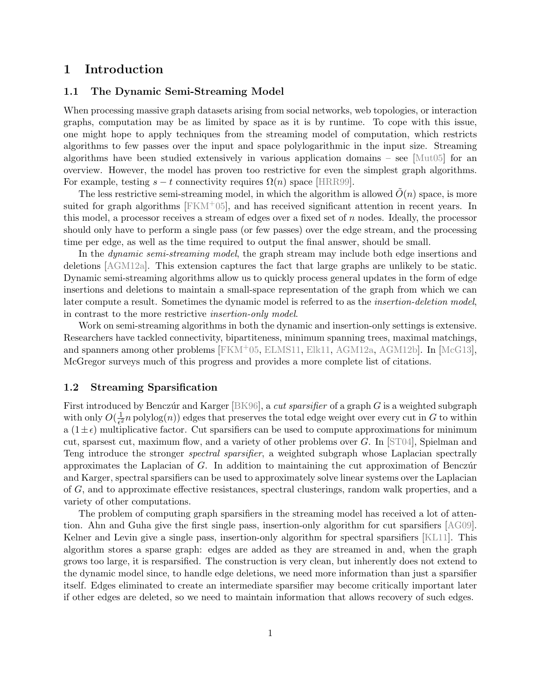## 1 Introduction

### 1.1 The Dynamic Semi-Streaming Model

When processing massive graph datasets arising from social networks, web topologies, or interaction graphs, computation may be as limited by space as it is by runtime. To cope with this issue, one might hope to apply techniques from the streaming model of computation, which restricts algorithms to few passes over the input and space polylogarithmic in the input size. Streaming algorithms have been studied extensively in various application domains – see  $\left[\text{Mut05}\right]$  for an overview. However, the model has proven too restrictive for even the simplest graph algorithms. For example, testing  $s - t$  connectivity requires  $\Omega(n)$  space [\[HRR99\]](#page-21-0).

The less restrictive semi-streaming model, in which the algorithm is allowed  $\tilde{O}(n)$  space, is more suited for graph algorithms  $[FKM+05]$  $[FKM+05]$ , and has received significant attention in recent years. In this model, a processor receives a stream of edges over a fixed set of  $n$  nodes. Ideally, the processor should only have to perform a single pass (or few passes) over the edge stream, and the processing time per edge, as well as the time required to output the final answer, should be small.

In the *dynamic semi-streaming model*, the graph stream may include both edge insertions and deletions [\[AGM12a\]](#page-20-0). This extension captures the fact that large graphs are unlikely to be static. Dynamic semi-streaming algorithms allow us to quickly process general updates in the form of edge insertions and deletions to maintain a small-space representation of the graph from which we can later compute a result. Sometimes the dynamic model is referred to as the insertion-deletion model, in contrast to the more restrictive insertion-only model.

Work on semi-streaming algorithms in both the dynamic and insertion-only settings is extensive. Researchers have tackled connectivity, bipartiteness, minimum spanning trees, maximal matchings, and spanners among other problems  $[FKM+05, ELMS11, Elk11, AGM12a, AGM12b]$  $[FKM+05, ELMS11, Elk11, AGM12a, AGM12b]$  $[FKM+05, ELMS11, Elk11, AGM12a, AGM12b]$  $[FKM+05, ELMS11, Elk11, AGM12a, AGM12b]$  $[FKM+05, ELMS11, Elk11, AGM12a, AGM12b]$  $[FKM+05, ELMS11, Elk11, AGM12a, AGM12b]$  $[FKM+05, ELMS11, Elk11, AGM12a, AGM12b]$  $[FKM+05, ELMS11, Elk11, AGM12a, AGM12b]$  $[FKM+05, ELMS11, Elk11, AGM12a, AGM12b]$ . In  $[McG13]$ , McGregor surveys much of this progress and provides a more complete list of citations.

#### 1.2 Streaming Sparsification

First introduced by Benczúr and Karger [\[BK96\]](#page-21-5), a *cut sparsifier* of a graph G is a weighted subgraph with only  $O(\frac{1}{\epsilon^2})$  $\frac{1}{\epsilon^2}n$  polylog $(n)$ ) edges that preserves the total edge weight over every cut in G to within a  $(1\pm\epsilon)$  multiplicative factor. Cut sparsifiers can be used to compute approximations for minimum cut, sparsest cut, maximum flow, and a variety of other problems over  $G$ . In [\[ST04\]](#page-22-2), Spielman and Teng introduce the stronger *spectral sparsifier*, a weighted subgraph whose Laplacian spectrally approximates the Laplacian of  $G$ . In addition to maintaining the cut approximation of Benczúr and Karger, spectral sparsifiers can be used to approximately solve linear systems over the Laplacian of G, and to approximate effective resistances, spectral clusterings, random walk properties, and a variety of other computations.

The problem of computing graph sparsifiers in the streaming model has received a lot of attention. Ahn and Guha give the first single pass, insertion-only algorithm for cut sparsifiers [\[AG09\]](#page-20-1). Kelner and Levin give a single pass, insertion-only algorithm for spectral sparsifiers [\[KL11\]](#page-21-6). This algorithm stores a sparse graph: edges are added as they are streamed in and, when the graph grows too large, it is resparsified. The construction is very clean, but inherently does not extend to the dynamic model since, to handle edge deletions, we need more information than just a sparsifier itself. Edges eliminated to create an intermediate sparsifier may become critically important later if other edges are deleted, so we need to maintain information that allows recovery of such edges.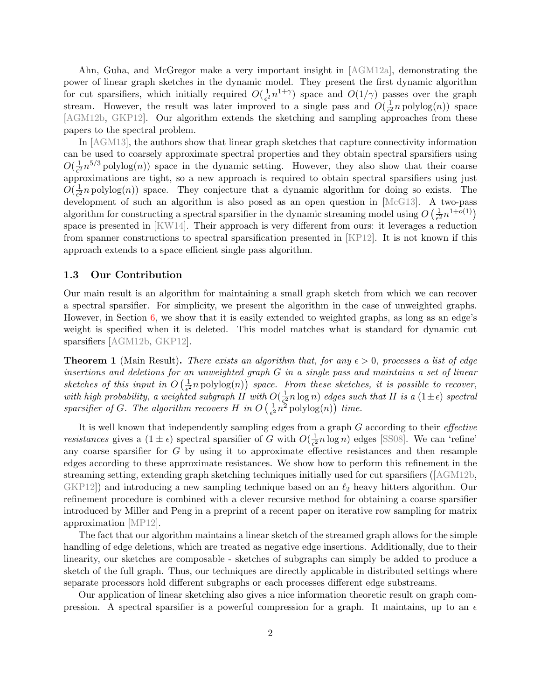Ahn, Guha, and McGregor make a very important insight in [\[AGM12a\]](#page-20-0), demonstrating the power of linear graph sketches in the dynamic model. They present the first dynamic algorithm for cut sparsifiers, which initially required  $O(\frac{1}{\epsilon^2})$  $\frac{1}{\epsilon^2}n^{1+\gamma}$  space and  $O(1/\gamma)$  passes over the graph stream. However, the result was later improved to a single pass and  $O(\frac{1}{\epsilon^2})$  $\frac{1}{e^2}n$  polylog $(n)$ ) space [\[AGM12b,](#page-21-4) [GKP12\]](#page-21-7). Our algorithm extends the sketching and sampling approaches from these papers to the spectral problem.

In [\[AGM13\]](#page-21-8), the authors show that linear graph sketches that capture connectivity information can be used to coarsely approximate spectral properties and they obtain spectral sparsifiers using  $O(\frac{1}{\epsilon^2})$  $\frac{1}{2}n^{5/3}$  polylog(n)) space in the dynamic setting. However, they also show that their coarse approximations are tight, so a new approach is required to obtain spectral sparsifiers using just  $O(\frac{1}{\epsilon^2})$  $\frac{1}{\epsilon^2}n$  polylog $(n)$ ) space. They conjecture that a dynamic algorithm for doing so exists. The development of such an algorithm is also posed as an open question in [\[McG13\]](#page-22-1). A two-pass algorithm for constructing a spectral sparsifier in the dynamic streaming model using  $O\left(\frac{1}{\epsilon^2}\right)$  $\frac{1}{e^2}n^{1+o(1)}$ space is presented in [\[KW14\]](#page-22-3). Their approach is very different from ours: it leverages a reduction from spanner constructions to spectral sparsification presented in [\[KP12\]](#page-22-4). It is not known if this approach extends to a space efficient single pass algorithm.

#### 1.3 Our Contribution

Our main result is an algorithm for maintaining a small graph sketch from which we can recover a spectral sparsifier. For simplicity, we present the algorithm in the case of unweighted graphs. However, in Section [6,](#page-14-0) we show that it is easily extended to weighted graphs, as long as an edge's weight is specified when it is deleted. This model matches what is standard for dynamic cut sparsifiers [\[AGM12b,](#page-21-4) [GKP12\]](#page-21-7).

<span id="page-2-0"></span>**Theorem 1** (Main Result). There exists an algorithm that, for any  $\epsilon > 0$ , processes a list of edge insertions and deletions for an unweighted graph G in a single pass and maintains a set of linear sketches of this input in  $O\left(\frac{1}{\epsilon^2}\right)$  $\frac{1}{\epsilon^2}$ n polylog $(n)$ ) space. From these sketches, it is possible to recover, with high probability, a weighted subgraph  $H$  with  $O(\frac{1}{\epsilon^2})$  $\frac{1}{\epsilon^2} n \log n$ ) edges such that H is a  $(1 \pm \epsilon)$  spectral sparsifier of G. The algorithm recovers H in  $O\left(\frac{1}{\epsilon^2}\right)$  $\frac{1}{\epsilon^2}n^2$  polylog(n)) time.

It is well known that independently sampling edges from a graph  $G$  according to their *effective* resistances gives a  $(1 \pm \epsilon)$  spectral sparsifier of G with  $O(\frac{1}{\epsilon^2})$  $\frac{1}{\epsilon^2} n \log n$ ) edges [\[SS08\]](#page-22-5). We can 'refine' any coarse sparsifier for  $G$  by using it to approximate effective resistances and then resample edges according to these approximate resistances. We show how to perform this refinement in the streaming setting, extending graph sketching techniques initially used for cut sparsifiers ([\[AGM12b,](#page-21-4) [GKP12\]](#page-21-7)) and introducing a new sampling technique based on an  $\ell_2$  heavy hitters algorithm. Our refinement procedure is combined with a clever recursive method for obtaining a coarse sparsifier introduced by Miller and Peng in a preprint of a recent paper on iterative row sampling for matrix approximation [\[MP12\]](#page-22-6).

The fact that our algorithm maintains a linear sketch of the streamed graph allows for the simple handling of edge deletions, which are treated as negative edge insertions. Additionally, due to their linearity, our sketches are composable - sketches of subgraphs can simply be added to produce a sketch of the full graph. Thus, our techniques are directly applicable in distributed settings where separate processors hold different subgraphs or each processes different edge substreams.

Our application of linear sketching also gives a nice information theoretic result on graph compression. A spectral sparsifier is a powerful compression for a graph. It maintains, up to an  $\epsilon$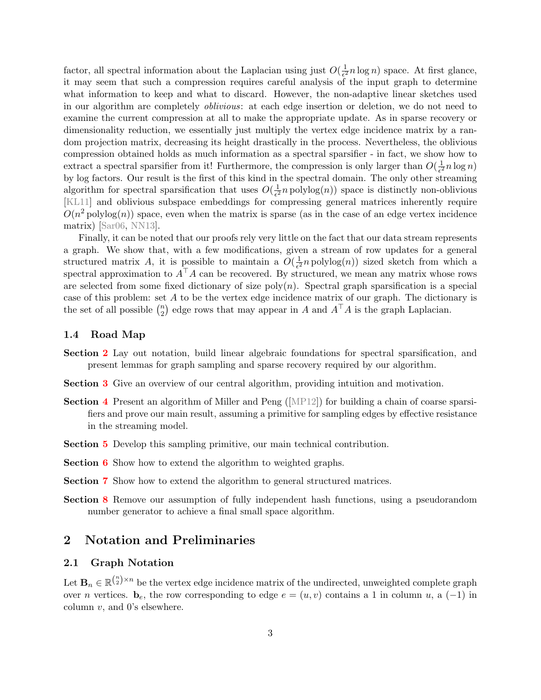factor, all spectral information about the Laplacian using just  $O(\frac{1}{\epsilon^2})$  $\frac{1}{\epsilon^2} n \log n$ ) space. At first glance, it may seem that such a compression requires careful analysis of the input graph to determine what information to keep and what to discard. However, the non-adaptive linear sketches used in our algorithm are completely oblivious: at each edge insertion or deletion, we do not need to examine the current compression at all to make the appropriate update. As in sparse recovery or dimensionality reduction, we essentially just multiply the vertex edge incidence matrix by a random projection matrix, decreasing its height drastically in the process. Nevertheless, the oblivious compression obtained holds as much information as a spectral sparsifier - in fact, we show how to extract a spectral sparsifier from it! Furthermore, the compression is only larger than  $O(\frac{1}{\epsilon^2})$  $\frac{1}{\epsilon^2} n \log n$ by log factors. Our result is the first of this kind in the spectral domain. The only other streaming algorithm for spectral sparsification that uses  $O(\frac{1}{\epsilon^2})$  $\frac{1}{\epsilon^2} n \operatorname{polylog}(n)$  space is distinctly non-oblivious [\[KL11\]](#page-21-6) and oblivious subspace embeddings for compressing general matrices inherently require  $O(n^2 \text{polylog}(n))$  space, even when the matrix is sparse (as in the case of an edge vertex incidence matrix) [\[Sar06,](#page-22-7) [NN13\]](#page-22-8).

Finally, it can be noted that our proofs rely very little on the fact that our data stream represents a graph. We show that, with a few modifications, given a stream of row updates for a general structured matrix A, it is possible to maintain a  $O(\frac{1}{\epsilon^2})$  $\frac{1}{\epsilon^2} n \operatorname{polylog}(n)$  sized sketch from which a spectral approximation to  $A^{\top}A$  can be recovered. By structured, we mean any matrix whose rows are selected from some fixed dictionary of size  $poly(n)$ . Spectral graph sparsification is a special case of this problem: set A to be the vertex edge incidence matrix of our graph. The dictionary is the set of all possible  $\binom{n}{2}$  $\binom{n}{2}$  edge rows that may appear in A and  $A^{\top}A$  is the graph Laplacian.

#### 1.4 Road Map

- Section [2](#page-3-0) Lay out notation, build linear algebraic foundations for spectral sparsification, and present lemmas for graph sampling and sparse recovery required by our algorithm.
- Section [3](#page-5-0) Give an overview of our central algorithm, providing intuition and motivation.
- **Section [4](#page-8-0)** Present an algorithm of Miller and Peng ( $[MP12]$ ) for building a chain of coarse sparsifiers and prove our main result, assuming a primitive for sampling edges by effective resistance in the streaming model.
- Section [5](#page-10-0) Develop this sampling primitive, our main technical contribution.
- Section [6](#page-14-0) Show how to extend the algorithm to weighted graphs.
- Section [7](#page-14-1) Show how to extend the algorithm to general structured matrices.
- Section [8](#page-19-0) Remove our assumption of fully independent hash functions, using a pseudorandom number generator to achieve a final small space algorithm.

### <span id="page-3-0"></span>2 Notation and Preliminaries

#### 2.1 Graph Notation

Let  $\mathbf{B}_n \in \mathbb{R}^{\binom{n}{2} \times n}$  be the vertex edge incidence matrix of the undirected, unweighted complete graph over *n* vertices.  $\mathbf{b}_e$ , the row corresponding to edge  $e = (u, v)$  contains a 1 in column u, a (-1) in column  $v$ , and  $0$ 's elsewhere.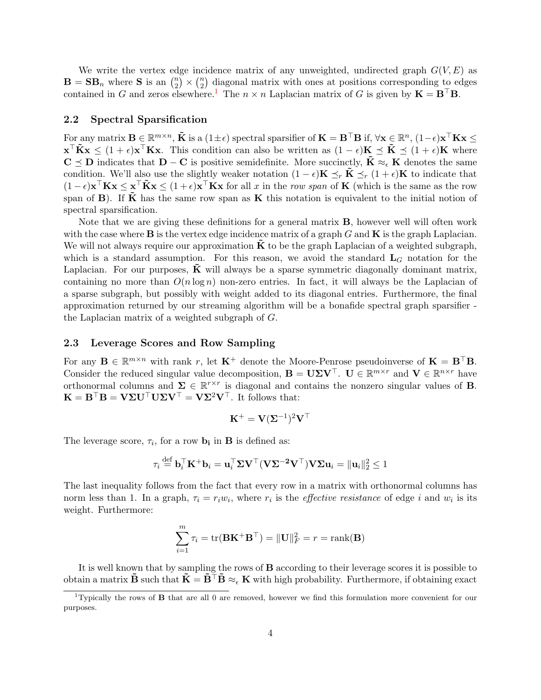We write the vertex edge incidence matrix of any unweighted, undirected graph  $G(V, E)$  as  $\mathbf{B} = \mathbf{S} \mathbf{B}_n$  where **S** is an  $\binom{n}{2}$  $\binom{n}{2}$   $\times$   $\binom{n}{2}$  $\binom{n}{2}$  diagonal matrix with ones at positions corresponding to edges contained in G and zeros elsewhere.<sup>[1](#page-4-0)</sup> The  $n \times n$  Laplacian matrix of G is given by  $\mathbf{K} = \mathbf{B}^\top \mathbf{B}$ .

#### 2.2 Spectral Sparsification

For any matrix  $\mathbf{B} \in \mathbb{R}^{m \times n}$ ,  $\tilde{\mathbf{K}}$  is a  $(1 \pm \epsilon)$  spectral sparsifier of  $\mathbf{K} = \mathbf{B}^{\top} \mathbf{B}$  if,  $\forall \mathbf{x} \in \mathbb{R}^n$ ,  $(1 - \epsilon) \mathbf{x}^{\top} \mathbf{K} \mathbf{x} \leq$  $\mathbf{x}^\top \tilde{\mathbf{K}} \mathbf{x} \leq (1+\epsilon) \mathbf{x}^\top \mathbf{K} \mathbf{x}$ . This condition can also be written as  $(1-\epsilon) \mathbf{K} \preceq \tilde{\mathbf{K}} \preceq (1+\epsilon) \mathbf{K}$  where  $C \preceq D$  indicates that  $D - C$  is positive semidefinite. More succinctly,  $\tilde{K} \approx_{\epsilon} K$  denotes the same condition. We'll also use the slightly weaker notation  $(1 - \epsilon)\mathbf{K} \preceq_r \mathbf{K} \preceq_r (1 + \epsilon)\mathbf{K}$  to indicate that  $(1 - \epsilon) \mathbf{x}^\top \mathbf{K} \mathbf{x} \leq \mathbf{x}^\top \tilde{\mathbf{K}} \mathbf{x} \leq (1 + \epsilon) \mathbf{x}^\top \mathbf{K} \mathbf{x}$  for all x in the row span of **K** (which is the same as the row span of B). If  $\tilde{K}$  has the same row span as K this notation is equivalent to the initial notion of spectral sparsification.

Note that we are giving these definitions for a general matrix B, however well will often work with the case where  $\bf{B}$  is the vertex edge incidence matrix of a graph  $G$  and  $\bf{K}$  is the graph Laplacian. We will not always require our approximation  $\bf{K}$  to be the graph Laplacian of a weighted subgraph, which is a standard assumption. For this reason, we avoid the standard  $L_G$  notation for the Laplacian. For our purposes,  $\bf{K}$  will always be a sparse symmetric diagonally dominant matrix, containing no more than  $O(n \log n)$  non-zero entries. In fact, it will always be the Laplacian of a sparse subgraph, but possibly with weight added to its diagonal entries. Furthermore, the final approximation returned by our streaming algorithm will be a bonafide spectral graph sparsifier the Laplacian matrix of a weighted subgraph of G.

#### <span id="page-4-1"></span>2.3 Leverage Scores and Row Sampling

For any  $\mathbf{B} \in \mathbb{R}^{m \times n}$  with rank r, let  $\mathbf{K}^+$  denote the Moore-Penrose pseudoinverse of  $\mathbf{K} = \mathbf{B}^\top \mathbf{B}$ . Consider the reduced singular value decomposition,  $\mathbf{B} = \mathbf{U} \Sigma \mathbf{V}^{\top}$ .  $\mathbf{U} \in \mathbb{R}^{m \times r}$  and  $\mathbf{V} \in \mathbb{R}^{n \times r}$  have orthonormal columns and  $\Sigma \in \mathbb{R}^{r \times r}$  is diagonal and contains the nonzero singular values of **B**.  $\mathbf{K} = \mathbf{B}^\top \mathbf{B} = \mathbf{V} \Sigma \mathbf{U}^\top \mathbf{U} \Sigma \mathbf{V}^\top = \mathbf{V} \Sigma^2 \mathbf{V}^\top$ . It follows that:

$$
\mathbf{K}^+ = \mathbf{V} (\mathbf{\Sigma}^{-1})^2 \mathbf{V}^\top
$$

The leverage score,  $\tau_i$ , for a row  $\mathbf{b_i}$  in **B** is defined as:

$$
\tau_i \stackrel{\text{def}}{=} \mathbf{b}_i^\top \mathbf{K}^+ \mathbf{b}_i = \mathbf{u}_i^\top \mathbf{\Sigma} \mathbf{V}^\top (\mathbf{V} \mathbf{\Sigma}^{-2} \mathbf{V}^\top) \mathbf{V} \mathbf{\Sigma} \mathbf{u}_i = \|\mathbf{u}_i\|_2^2 \le 1
$$

The last inequality follows from the fact that every row in a matrix with orthonormal columns has norm less than 1. In a graph,  $\tau_i = r_i w_i$ , where  $r_i$  is the *effective resistance* of edge i and  $w_i$  is its weight. Furthermore:

$$
\sum_{i=1}^{m} \tau_i = \text{tr}(\mathbf{B}\mathbf{K}^+ \mathbf{B}^\top) = \|\mathbf{U}\|_F^2 = r = \text{rank}(\mathbf{B})
$$

It is well known that by sampling the rows of B according to their leverage scores it is possible to obtain a matrix  $\tilde{\mathbf{B}}$  such that  $\tilde{\mathbf{K}} = \tilde{\mathbf{B}}^\top \tilde{\mathbf{B}} \approx_{\epsilon} \mathbf{K}$  with high probability. Furthermore, if obtaining exact

<span id="page-4-0"></span><sup>&</sup>lt;sup>1</sup>Typically the rows of **B** that are all 0 are removed, however we find this formulation more convenient for our purposes.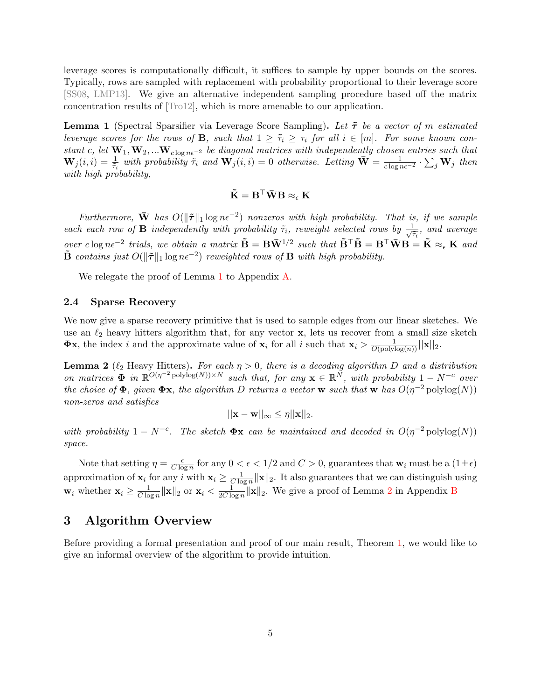leverage scores is computationally difficult, it suffices to sample by upper bounds on the scores. Typically, rows are sampled with replacement with probability proportional to their leverage score [\[SS08,](#page-22-5) [LMP13\]](#page-22-9). We give an alternative independent sampling procedure based off the matrix concentration results of [\[Tro12\]](#page-22-10), which is more amenable to our application.

<span id="page-5-1"></span>**Lemma 1** (Spectral Sparsifier via Leverage Score Sampling). Let  $\tilde{\tau}$  be a vector of m estimated leverage scores for the rows of **B**, such that  $1 \geq \tilde{\tau}_i \geq \tau_i$  for all  $i \in [m]$ . For some known constant c, let  $\mathbf{W}_1, \mathbf{W}_2, ... \mathbf{W}_{c \log n\epsilon^{-2}}$  be diagonal matrices with independently chosen entries such that  $\mathbf{W}_j(i,i) = \frac{1}{\tilde{\tau}_i}$  with probability  $\tilde{\tau}_i$  and  $\mathbf{W}_j(i,i) = 0$  otherwise. Letting  $\bar{\mathbf{W}} = \frac{1}{c \log n \epsilon^{-2}} \cdot \sum_j \mathbf{W}_j$  then with high probability,

$$
\tilde{\mathbf{K}} = \mathbf{B}^\top \bar{\mathbf{W}} \mathbf{B} \approx_{\epsilon} \mathbf{K}
$$

Furthermore,  $\bar{W}$  has  $O(\|\tilde{\tau}\|_1 \log n\epsilon^{-2})$  nonzeros with high probability. That is, if we sample each each row of **B** independently with probability  $\tilde{\tau}_i$ , reweight selected rows by  $\frac{1}{\sqrt{2}}$  $\frac{1}{\tilde{\tau}_i}$ , and average over clog n $\epsilon^{-2}$  trials, we obtain a matrix  $\tilde{\mathbf{B}} = \mathbf{B} \bar{\mathbf{W}}^{1/2}$  such that  $\tilde{\mathbf{B}}^{\top} \tilde{\mathbf{B}} = \mathbf{B}^{\top} \bar{\mathbf{W}} \mathbf{B} = \tilde{\mathbf{K}} \approx_{\epsilon} \mathbf{K}$  and  $\tilde{\mathbf{B}}$  contains just  $O(\|\tilde{\boldsymbol{\tau}}\|_1 \log n\epsilon^{-2})$  reweighted rows of  $\mathbf{B}$  with high probability.

We relegate the proof of Lemma [1](#page-5-1) to Appendix [A.](#page-22-11)

#### 2.4 Sparse Recovery

We now give a sparse recovery primitive that is used to sample edges from our linear sketches. We use an  $\ell_2$  heavy hitters algorithm that, for any vector x, lets us recover from a small size sketch  $\Phi$ **x**, the index *i* and the approximate value of  $\mathbf{x}_i$  for all *i* such that  $\mathbf{x}_i > \frac{1}{O(\text{polylog}(n))} ||\mathbf{x}||_2$ .

<span id="page-5-2"></span>**Lemma 2** ( $\ell_2$  Heavy Hitters). For each  $\eta > 0$ , there is a decoding algorithm D and a distribution on matrices  $\Phi$  in  $\mathbb{R}^{O(\eta^{-2} \text{polylog}(N)) \times N}$  such that, for any  $\mathbf{x} \in \mathbb{R}^N$ , with probability  $1 - N^{-c}$  over the choice of  $\Phi$ , given  $\Phi$ x, the algorithm D returns a vector w such that w has  $O(\eta^{-2} \text{polylog}(N))$ non-zeros and satisfies

$$
||\mathbf{x} - \mathbf{w}||_{\infty} \leq \eta ||\mathbf{x}||_2.
$$

with probability  $1 - N^{-c}$ . The sketch  $\Phi$ **x** can be maintained and decoded in  $O(\eta^{-2} \text{polylog}(N))$ space.

Note that setting  $\eta = \frac{\epsilon}{C \log n}$  $\frac{\epsilon}{C \log n}$  for any  $0 < \epsilon < 1/2$  and  $C > 0$ , guarantees that  $w_i$  must be a  $(1 \pm \epsilon)$ approximation of  $\mathbf{x}_i$  for any i with  $\mathbf{x}_i \geq \frac{1}{C \log n}$  $\frac{1}{C \log n} \|\mathbf{x}\|_2$ . It also guarantees that we can distinguish using  $\mathbf{w}_i$  whether  $\mathbf{x}_i \geq \frac{1}{C \log n}$  $\frac{1}{C \log n} \|\mathbf{x}\|_2$  or  $\mathbf{x}_i < \frac{1}{2C \log n}$  $\frac{1}{2C \log n} \|\mathbf{x}\|_2$  $\frac{1}{2C \log n} \|\mathbf{x}\|_2$  $\frac{1}{2C \log n} \|\mathbf{x}\|_2$ . We give a proof of Lemma 2 in Appendix [B](#page-24-0)

## <span id="page-5-0"></span>3 Algorithm Overview

Before providing a formal presentation and proof of our main result, Theorem [1,](#page-2-0) we would like to give an informal overview of the algorithm to provide intuition.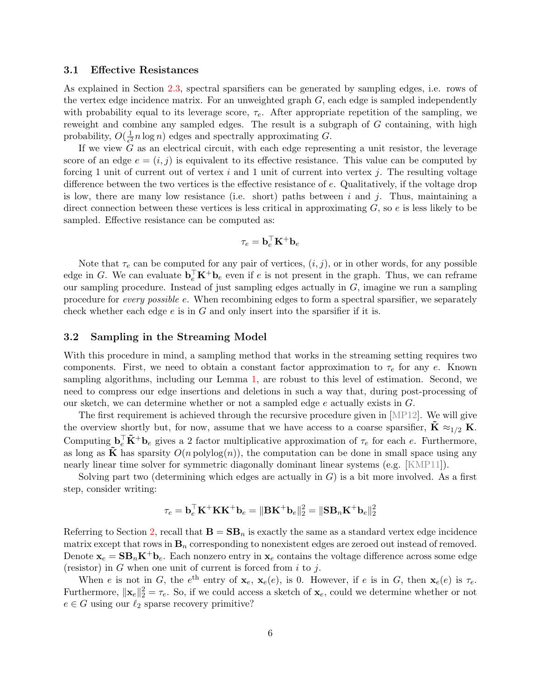#### 3.1 Effective Resistances

As explained in Section [2.3,](#page-4-1) spectral sparsifiers can be generated by sampling edges, i.e. rows of the vertex edge incidence matrix. For an unweighted graph  $G$ , each edge is sampled independently with probability equal to its leverage score,  $\tau_e$ . After appropriate repetition of the sampling, we reweight and combine any sampled edges. The result is a subgraph of G containing, with high probability,  $O(\frac{1}{\epsilon^2})$  $\frac{1}{\epsilon^2} n \log n$ ) edges and spectrally approximating G.

If we view  $G$  as an electrical circuit, with each edge representing a unit resistor, the leverage score of an edge  $e = (i, j)$  is equivalent to its effective resistance. This value can be computed by forcing 1 unit of current out of vertex i and 1 unit of current into vertex j. The resulting voltage difference between the two vertices is the effective resistance of e. Qualitatively, if the voltage drop is low, there are many low resistance (i.e. short) paths between i and j. Thus, maintaining a direct connection between these vertices is less critical in approximating  $G$ , so  $e$  is less likely to be sampled. Effective resistance can be computed as:

$$
\tau_e = \mathbf{b}_e^{\top} \mathbf{K}^+ \mathbf{b}_e
$$

Note that  $\tau_e$  can be computed for any pair of vertices,  $(i, j)$ , or in other words, for any possible edge in G. We can evaluate  $\mathbf{b}_e^{\top} \mathbf{K}^+ \mathbf{b}_e$  even if e is not present in the graph. Thus, we can reframe our sampling procedure. Instead of just sampling edges actually in  $G$ , imagine we run a sampling procedure for every possible e. When recombining edges to form a spectral sparsifier, we separately check whether each edge  $e$  is in  $G$  and only insert into the sparsifier if it is.

#### 3.2 Sampling in the Streaming Model

With this procedure in mind, a sampling method that works in the streaming setting requires two components. First, we need to obtain a constant factor approximation to  $\tau_e$  for any e. Known sampling algorithms, including our Lemma [1,](#page-5-1) are robust to this level of estimation. Second, we need to compress our edge insertions and deletions in such a way that, during post-processing of our sketch, we can determine whether or not a sampled edge e actually exists in G.

The first requirement is achieved through the recursive procedure given in [\[MP12\]](#page-22-6). We will give the overview shortly but, for now, assume that we have access to a coarse sparsifier,  $\mathbf{K} \approx_{1/2} \mathbf{K}$ . Computing  $\mathbf{b}_e^{\top} \tilde{\mathbf{K}}^+ \mathbf{b}_e$  gives a 2 factor multiplicative approximation of  $\tau_e$  for each e. Furthermore, as long as  $\tilde{\mathbf{K}}$  has sparsity  $O(n \text{ polylog}(n))$ , the computation can be done in small space using any nearly linear time solver for symmetric diagonally dominant linear systems (e.g. [\[KMP11\]](#page-21-9)).

Solving part two (determining which edges are actually in  $G$ ) is a bit more involved. As a first step, consider writing:

$$
\tau_e = \mathbf{b}_e^{\top}\mathbf{K}^{+}\mathbf{K}\mathbf{K}^{+}\mathbf{b}_e = \|\mathbf{B}\mathbf{K}^{+}\mathbf{b}_e\|_2^2 = \|\mathbf{S}\mathbf{B}_n\mathbf{K}^{+}\mathbf{b}_e\|_2^2
$$

Referring to Section [2,](#page-3-0) recall that  $\mathbf{B} = \mathbf{S} \mathbf{B}_n$  is exactly the same as a standard vertex edge incidence matrix except that rows in  $\mathbf{B}_n$  corresponding to nonexistent edges are zeroed out instead of removed. Denote  $\mathbf{x}_e = \mathbf{S} \mathbf{B}_n \mathbf{K}^+ \mathbf{b}_e$ . Each nonzero entry in  $\mathbf{x}_e$  contains the voltage difference across some edge (resistor) in  $G$  when one unit of current is forced from  $i$  to  $j$ .

When e is not in G, the  $e^{\text{th}}$  entry of  $\mathbf{x}_e, \mathbf{x}_e(e)$ , is 0. However, if e is in G, then  $\mathbf{x}_e(e)$  is  $\tau_e$ . Furthermore,  $\|\mathbf{x}_e\|_2^2 = \tau_e$ . So, if we could access a sketch of  $\mathbf{x}_e$ , could we determine whether or not  $e \in G$  using our  $\ell_2$  sparse recovery primitive?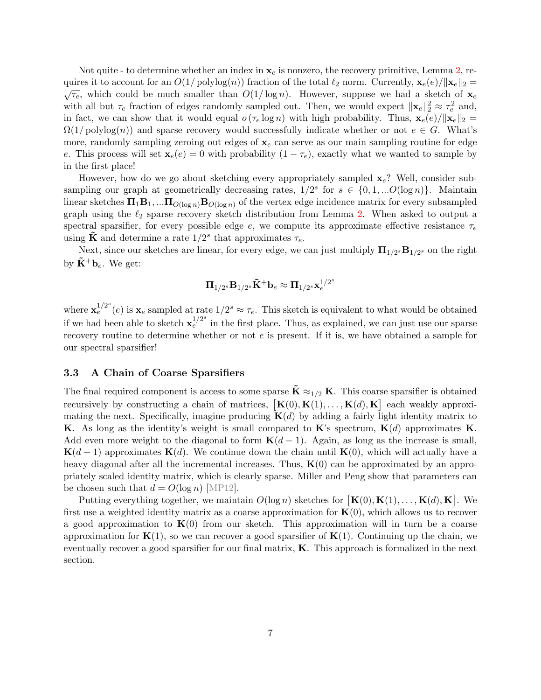Not quite - to determine whether an index in  $x_e$  is nonzero, the recovery primitive, Lemma [2,](#page-5-2) requires it to account for an  $O(1/\text{polylog}(n))$  fraction of the total  $\ell_2$  norm. Currently,  $\mathbf{x}_e(e)/\|\mathbf{x}_e\|_2 =$  $\overline{\tau_e}$ , which could be much smaller than  $O(1/\log n)$ . However, suppose we had a sketch of  $\mathbf{x}_e$ with all but  $\tau_e$  fraction of edges randomly sampled out. Then, we would expect  $\|\mathbf{x}_e\|_2^2 \approx \tau_e^2$  and, in fact, we can show that it would equal  $o(\tau_e \log n)$  with high probability. Thus,  $\mathbf{x}_e(e)/\|\mathbf{x}_e\|_2 =$  $\Omega(1/\text{polylog}(n))$  and sparse recovery would successfully indicate whether or not  $e \in G$ . What's more, randomly sampling zeroing out edges of  $x_e$  can serve as our main sampling routine for edge e. This process will set  $\mathbf{x}_e(e) = 0$  with probability  $(1 - \tau_e)$ , exactly what we wanted to sample by in the first place!

However, how do we go about sketching every appropriately sampled  $\mathbf{x}_e$ ? Well, consider subsampling our graph at geometrically decreasing rates,  $1/2^s$  for  $s \in \{0, 1, ...O(\log n)\}\$ . Maintain linear sketches  $\Pi_1B_1$ , ... $\Pi_{O(\log n)}B_{O(\log n)}$  of the vertex edge incidence matrix for every subsampled graph using the  $\ell_2$  sparse recovery sketch distribution from Lemma [2.](#page-5-2) When asked to output a spectral sparsifier, for every possible edge  $e$ , we compute its approximate effective resistance  $\tau_e$ using  $\tilde{\mathbf{K}}$  and determine a rate  $1/2^s$  that approximates  $\tau_e$ .

Next, since our sketches are linear, for every edge, we can just multiply  $\mathbf{\Pi}_{1/2^s} \mathbf{B}_{1/2^s}$  on the right by  $\tilde{\mathbf{K}}^{\dagger} \mathbf{b}_{e}$ . We get:

$$
\boldsymbol{\Pi}_{1/2^s} \mathbf{B}_{1/2^s} \tilde{\mathbf{K}}^+ \mathbf{b}_e \approx \boldsymbol{\Pi}_{1/2^s} \mathbf{x}_e^{1/2^s}
$$

where  $\mathbf{x}_{e}^{1/2^{s}}(e)$  is  $\mathbf{x}_{e}$  sampled at rate  $1/2^{s} \approx \tau_{e}$ . This sketch is equivalent to what would be obtained if we had been able to sketch  $x_e^{1/2^s}$  in the first place. Thus, as explained, we can just use our sparse recovery routine to determine whether or not e is present. If it is, we have obtained a sample for our spectral sparsifier!

#### 3.3 A Chain of Coarse Sparsifiers

The final required component is access to some sparse  $\mathbf{K} \approx_{1/2} \mathbf{K}$ . This coarse sparsifier is obtained recursively by constructing a chain of matrices,  $[\mathbf{K}(0), \mathbf{K}(1), \ldots, \mathbf{K}(d), \mathbf{K}]$  each weakly approximating the next. Specifically, imagine producing  $K(d)$  by adding a fairly light identity matrix to **K**. As long as the identity's weight is small compared to **K**'s spectrum,  $\mathbf{K}(d)$  approximates **K**. Add even more weight to the diagonal to form  ${\bf K}(d-1)$ . Again, as long as the increase is small,  ${\bf K}(d-1)$  approximates  ${\bf K}(d)$ . We continue down the chain until  ${\bf K}(0)$ , which will actually have a heavy diagonal after all the incremental increases. Thus,  $K(0)$  can be approximated by an appropriately scaled identity matrix, which is clearly sparse. Miller and Peng show that parameters can be chosen such that  $d = O(\log n)$  [\[MP12\]](#page-22-6).

Putting everything together, we maintain  $O(\log n)$  sketches for  $[\mathbf{K}(0), \mathbf{K}(1), \ldots, \mathbf{K}(d), \mathbf{K}]$ . We first use a weighted identity matrix as a coarse approximation for  $K(0)$ , which allows us to recover a good approximation to  $K(0)$  from our sketch. This approximation will in turn be a coarse approximation for  $K(1)$ , so we can recover a good sparsifier of  $K(1)$ . Continuing up the chain, we eventually recover a good sparsifier for our final matrix, K. This approach is formalized in the next section.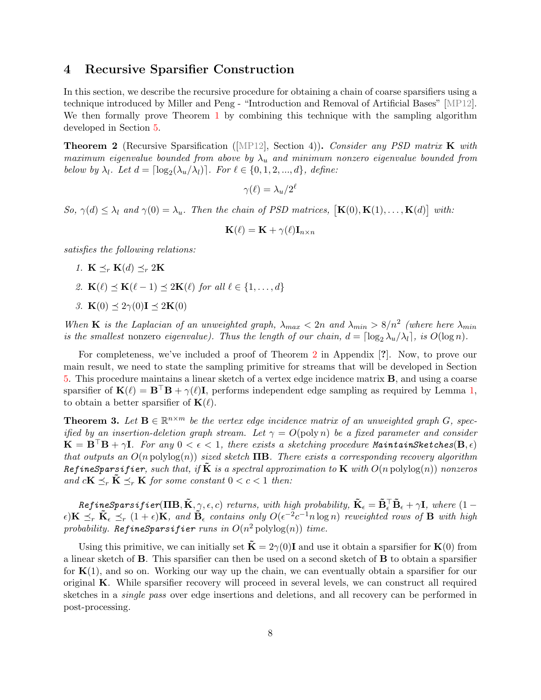### <span id="page-8-0"></span>4 Recursive Sparsifier Construction

In this section, we describe the recursive procedure for obtaining a chain of coarse sparsifiers using a technique introduced by Miller and Peng - "Introduction and Removal of Artificial Bases" [\[MP12\]](#page-22-6). We then formally prove Theorem [1](#page-2-0) by combining this technique with the sampling algorithm developed in Section [5.](#page-10-0)

<span id="page-8-1"></span>**Theorem 2** (Recursive Sparsification ([\[MP12\]](#page-22-6), Section 4)). Consider any PSD matrix **K** with maximum eigenvalue bounded from above by  $\lambda_u$  and minimum nonzero eigenvalue bounded from below by  $\lambda_l$ . Let  $d = \lceil \log_2(\lambda_u/\lambda_l) \rceil$ . For  $\ell \in \{0, 1, 2, ..., d\}$ , define:

 $\gamma(\ell) = \lambda_u / 2^\ell$ 

So,  $\gamma(d) \leq \lambda_l$  and  $\gamma(0) = \lambda_u$ . Then the chain of PSD matrices,  $[\mathbf{K}(0), \mathbf{K}(1), \dots, \mathbf{K}(d)]$  with:

$$
\mathbf{K}(\ell) = \mathbf{K} + \gamma(\ell) \mathbf{I}_{n \times n}
$$

satisfies the following relations:

- 1.  $\mathbf{K} \preceq_r \mathbf{K}(d) \preceq_r 2\mathbf{K}$
- 2.  $\mathbf{K}(\ell) \preceq \mathbf{K}(\ell 1) \preceq 2\mathbf{K}(\ell)$  for all  $\ell \in \{1, \ldots, d\}$
- 3.  $\mathbf{K}(0) \preceq 2\gamma(0) \mathbf{I} \preceq 2\mathbf{K}(0)$

When **K** is the Laplacian of an unweighted graph,  $\lambda_{max} < 2n$  and  $\lambda_{min} > 8/n^2$  (where here  $\lambda_{min}$ is the smallest nonzero eigenvalue). Thus the length of our chain,  $d = \lceil \log_2 \lambda_u/\lambda_l \rceil$ , is  $O(\log n)$ .

For completeness, we've included a proof of Theorem [2](#page-8-1) in Appendix [?]. Now, to prove our main result, we need to state the sampling primitive for streams that will be developed in Section [5.](#page-10-0) This procedure maintains a linear sketch of a vertex edge incidence matrix B, and using a coarse sparsifier of  $\mathbf{K}(\ell) = \mathbf{B}^\top \mathbf{B} + \gamma(\ell) \mathbf{I}$ , performs independent edge sampling as required by Lemma [1,](#page-5-1) to obtain a better sparsifier of  $\mathbf{K}(\ell)$ .

<span id="page-8-2"></span>**Theorem 3.** Let  $\mathbf{B} \in \mathbb{R}^{n \times m}$  be the vertex edge incidence matrix of an unweighted graph G, specified by an insertion-deletion graph stream. Let  $\gamma = O(\text{poly } n)$  be a fixed parameter and consider  $\mathbf{K} = \mathbf{B}^\top \mathbf{B} + \gamma \mathbf{I}$ . For any  $0 < \epsilon < 1$ , there exists a sketching procedure MaintainSketches $(\mathbf{B}, \epsilon)$ that outputs an  $O(n \text{ polylog}(n))$  sized sketch  $\text{TB}$ . There exists a corresponding recovery algorithm RefineSparsifier, such that, if  $\tilde{K}$  is a spectral approximation to  $K$  with  $O(n \text{ polylog}(n))$  nonzeros and  $c\mathbf{K} \preceq_r \tilde{\mathbf{K}} \preceq_r \mathbf{K}$  for some constant  $0 < c < 1$  then:

 $\mathit{RefineSparsifier}(\mathbf{IIB},\tilde{\mathbf{K}},\gamma,\epsilon,c)$  returns, with high probability,  $\mathbf{\tilde{K}}_{\epsilon}=\mathbf{\tilde{B}}_{\epsilon}^{\top} \mathbf{\tilde{B}}_{\epsilon}+\gamma \mathbf{I},$  where  $(1-\gamma)\mathbf{\tilde{S}}_{\epsilon}$  $\epsilon$ ) $\mathbf{K} \preceq_r \tilde{\mathbf{K}}_{\epsilon} \preceq_r (1+\epsilon)\mathbf{K}$ , and  $\tilde{\mathbf{B}}_{\epsilon}$  contains only  $O(\epsilon^{-2}c^{-1}n\log n)$  reweighted rows of  $\mathbf{B}$  with high probability. RefineSparsifier runs in  $O(n^2 \text{ polylog}(n))$  time.

Using this primitive, we can initially set  $\tilde{\mathbf{K}} = 2\gamma(0)\mathbf{I}$  and use it obtain a sparsifier for  $\mathbf{K}(0)$  from a linear sketch of B. This sparsifier can then be used on a second sketch of B to obtain a sparsifier for  $K(1)$ , and so on. Working our way up the chain, we can eventually obtain a sparsifier for our original K. While sparsifier recovery will proceed in several levels, we can construct all required sketches in a single pass over edge insertions and deletions, and all recovery can be performed in post-processing.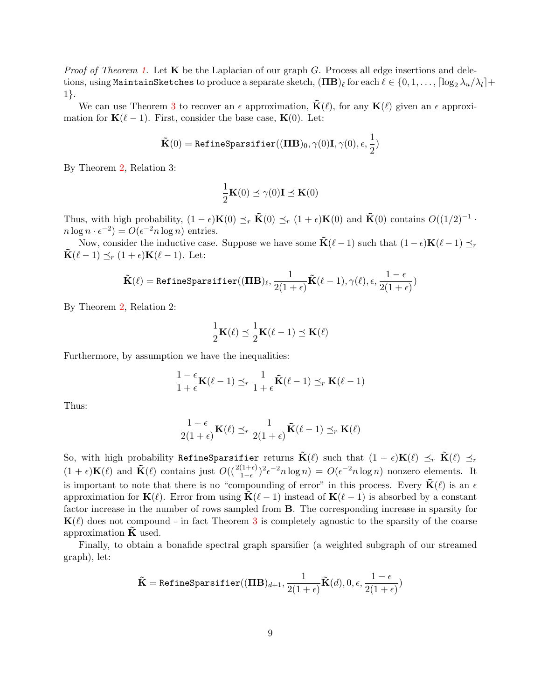*Proof of Theorem [1.](#page-2-0)* Let  $\bf{K}$  be the Laplacian of our graph G. Process all edge insertions and deletions, using <code>MaintainSketches</code> to produce a separate sketch,  $(\mathbf{IIB})_\ell$  for each  $\ell \in \{0,1,\ldots, \lceil \log_2\lambda_u/\lambda_l \rceil+1$ 1}.

We can use Theorem [3](#page-8-2) to recover an  $\epsilon$  approximation,  $\tilde{\mathbf{K}}(\ell)$ , for any  $\mathbf{K}(\ell)$  given an  $\epsilon$  approximation for  $\mathbf{K}(\ell - 1)$ . First, consider the base case,  $\mathbf{K}(0)$ . Let:

$$
\tilde{\mathbf{K}}(0) = \texttt{RefineSparsifier}((\boldsymbol{\Pi} \mathbf{B})_0, \gamma(0) \mathbf{I}, \gamma(0), \epsilon, \frac{1}{2})
$$

By Theorem [2,](#page-8-1) Relation 3:

$$
\frac{1}{2}\mathbf{K}(0) \preceq \gamma(0)\mathbf{I} \preceq \mathbf{K}(0)
$$

Thus, with high probability,  $(1 - \epsilon)\mathbf{K}(0) \preceq_r \tilde{\mathbf{K}}(0) \preceq_r (1 + \epsilon)\mathbf{K}(0)$  and  $\tilde{\mathbf{K}}(0)$  contains  $O((1/2)^{-1} \cdot$  $n \log n \cdot \epsilon^{-2} = O(\epsilon^{-2} n \log n)$  entries.

Now, consider the inductive case. Suppose we have some  $\tilde{\mathbf{K}}(\ell - 1)$  such that  $(1 - \epsilon)\mathbf{K}(\ell - 1) \preceq_r$  $\mathbf{\tilde{K}}(\ell - 1) \preceq_r (1 + \epsilon) \mathbf{K}(\ell - 1)$ . Let:

$$
\tilde{\mathbf{K}}(\ell) = \texttt{RefineSparsifier}((\mathbf{IIB})_{\ell}, \frac{1}{2(1+\epsilon)}\tilde{\mathbf{K}}(\ell-1), \gamma(\ell), \epsilon, \frac{1-\epsilon}{2(1+\epsilon)})
$$

By Theorem [2,](#page-8-1) Relation 2:

$$
\frac{1}{2}\mathbf{K}(\ell) \preceq \frac{1}{2}\mathbf{K}(\ell-1) \preceq \mathbf{K}(\ell)
$$

Furthermore, by assumption we have the inequalities:

$$
\frac{1-\epsilon}{1+\epsilon} \mathbf{K}(\ell-1) \preceq_r \frac{1}{1+\epsilon} \tilde{\mathbf{K}}(\ell-1) \preceq_r \mathbf{K}(\ell-1)
$$

Thus:

$$
\frac{1-\epsilon}{2(1+\epsilon)}\mathbf{K}(\ell) \preceq_r \frac{1}{2(1+\epsilon)}\tilde{\mathbf{K}}(\ell-1) \preceq_r \mathbf{K}(\ell)
$$

So, with high probability RefineSparsifier returns  $\tilde{\mathbf{K}}(\ell)$  such that  $(1 - \epsilon) \mathbf{K}(\ell) \preceq_r \tilde{\mathbf{K}}(\ell) \preceq_r$  $(1 + \epsilon)\mathbf{K}(\ell)$  and  $\tilde{\mathbf{K}}(\ell)$  contains just  $O((\frac{2(1+\epsilon)}{1-\epsilon})^2\epsilon^{-2}n\log n) = O(\epsilon^{-2}n\log n)$  nonzero elements. It is important to note that there is no "compounding of error" in this process. Every  $\tilde{\mathbf{K}}(\ell)$  is an  $\epsilon$ approximation for  $\mathbf{K}(\ell)$ . Error from using  $\mathbf{K}(\ell - 1)$  instead of  $\mathbf{K}(\ell - 1)$  is absorbed by a constant factor increase in the number of rows sampled from B. The corresponding increase in sparsity for  $K(\ell)$  does not compound - in fact Theorem [3](#page-8-2) is completely agnostic to the sparsity of the coarse approximation  $\bf{K}$  used.

Finally, to obtain a bonafide spectral graph sparsifier (a weighted subgraph of our streamed graph), let:

$$
\tilde{\mathbf{K}} = \texttt{RefineSparsifier}((\boldsymbol{\Pi}\mathbf{B})_{d+1}, \frac{1}{2(1+\epsilon)}\tilde{\mathbf{K}}(d), 0, \epsilon, \frac{1-\epsilon}{2(1+\epsilon)})
$$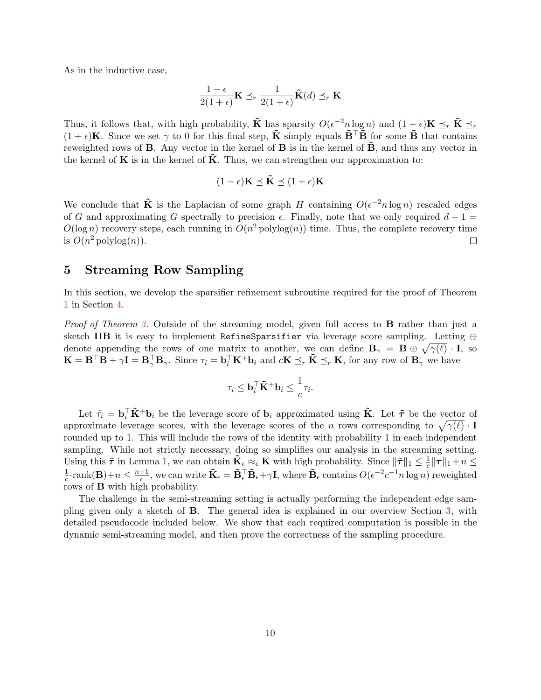As in the inductive case,

$$
\frac{1-\epsilon}{2(1+\epsilon)}\mathbf{K} \preceq_r \frac{1}{2(1+\epsilon)}\tilde{\mathbf{K}}(d) \preceq_r \mathbf{K}
$$

Thus, it follows that, with high probability,  $\tilde{\mathbf{K}}$  has sparsity  $O(\epsilon^{-2} n \log n)$  and  $(1 - \epsilon)\mathbf{K} \preceq_r \tilde{\mathbf{K}} \preceq_r \epsilon$  $(1 + \epsilon)$ K. Since we set  $\gamma$  to 0 for this final step,  $\tilde{K}$  simply equals  $\tilde{B}^{\top} \tilde{B}$  for some  $\tilde{B}$  that contains reweighted rows of **B**. Any vector in the kernel of **B** is in the kernel of  $\mathbf{\tilde{B}}$ , and thus any vector in the kernel of **K** is in the kernel of  $\tilde{\mathbf{K}}$ . Thus, we can strengthen our approximation to:

$$
(1 - \epsilon)\mathbf{K} \preceq \tilde{\mathbf{K}} \preceq (1 + \epsilon)\mathbf{K}
$$

We conclude that  $\tilde{K}$  is the Laplacian of some graph H containing  $O(\epsilon^{-2} n \log n)$  rescaled edges of G and approximating G spectrally to precision  $\epsilon$ . Finally, note that we only required  $d+1=$  $O(\log n)$  recovery steps, each running in  $O(n^2 \text{polylog}(n))$  time. Thus, the complete recovery time is  $O(n^2 \text{polylog}(n))$ .  $\Box$ 

### <span id="page-10-0"></span>5 Streaming Row Sampling

In this section, we develop the sparsifier refinement subroutine required for the proof of Theorem [1](#page-2-0) in Section [4.](#page-8-0)

Proof of Theorem [3.](#page-8-2) Outside of the streaming model, given full access to **B** rather than just a sketch  $\Pi$ B it is easy to implement RefineSparsifier via leverage score sampling. Letting  $oplus$ denote appending the rows of one matrix to another, we can define  $\mathbf{B}_{\gamma} = \mathbf{B} \oplus \sqrt{\gamma(\ell)} \cdot \mathbf{I}$ , so  $\mathbf{K} = \mathbf{B}^{\top} \mathbf{B} + \gamma \mathbf{I} = \mathbf{B}_{\gamma}^{\top} \mathbf{B}_{\gamma}$ . Since  $\tau_i = \mathbf{b}_i^{\top} \mathbf{K}^+ \mathbf{b}_i$  and  $c\mathbf{K} \preceq_r \tilde{\mathbf{K}} \preceq_r \mathbf{K}$ , for any row of  $\mathbf{B}_{\gamma}$  we have

$$
\tau_i \leq \mathbf{b}_i^\top \tilde{\mathbf{K}}^+ \mathbf{b}_i \leq \frac{1}{c} \tau_i.
$$

Let  $\tilde{\tau}_i = \mathbf{b}_i^{\top} \tilde{\mathbf{K}}^+ \mathbf{b}_i$  be the leverage score of  $\mathbf{b}_i$  approximated using  $\tilde{\mathbf{K}}$ . Let  $\tilde{\boldsymbol{\tau}}$  be the vector of approximate leverage scores, with the leverage scores of the n rows corresponding to  $\sqrt{\gamma(\ell)} \cdot \mathbf{I}$ rounded up to 1. This will include the rows of the identity with probability 1 in each independent sampling. While not strictly necessary, doing so simplifies our analysis in the streaming setting. Using this  $\tilde{\tau}$  in Lemma [1,](#page-5-1) we can obtain  $\tilde{\mathbf{K}}_{\epsilon} \approx_{\epsilon} \mathbf{K}$  with high probability. Since  $\|\tilde{\tau}\|_1 \leq \frac{1}{c} \|\tau\|_1 + n \leq$ Come this T in Benning 1, we can obtain  $\mathbf{R}_{\epsilon} \sim_{\epsilon} \mathbf{R}$  when high probability. Since  $||T||_1 \geq \frac{1}{c}$ <br> $\frac{1}{2}$ , rank( $\mathbf{R}$ ) +  $n < \frac{n+1}{2}$  we can write  $\tilde{\mathbf{K}} = \tilde{\mathbf{R}}^T \tilde{\mathbf{R}} + \alpha \mathbf{I}$  where  $\tilde{\mathbf{$  $\frac{1}{c}$ ·rank(**B**)+ $n \leq \frac{n+1}{c}$  $\frac{+1}{c}$ , we can write  $\tilde{\mathbf{K}}_{\epsilon} = \tilde{\mathbf{B}}_{\epsilon}^{\top} \tilde{\mathbf{B}}_{\epsilon} + \gamma \mathbf{I}$ , where  $\tilde{\mathbf{B}}_{\epsilon}$  contains  $O(\epsilon^{-2} c^{-1} n \log n)$  reweighted rows of B with high probability.

The challenge in the semi-streaming setting is actually performing the independent edge sampling given only a sketch of B. The general idea is explained in our overview Section [3,](#page-5-0) with detailed pseudocode included below. We show that each required computation is possible in the dynamic semi-streaming model, and then prove the correctness of the sampling procedure.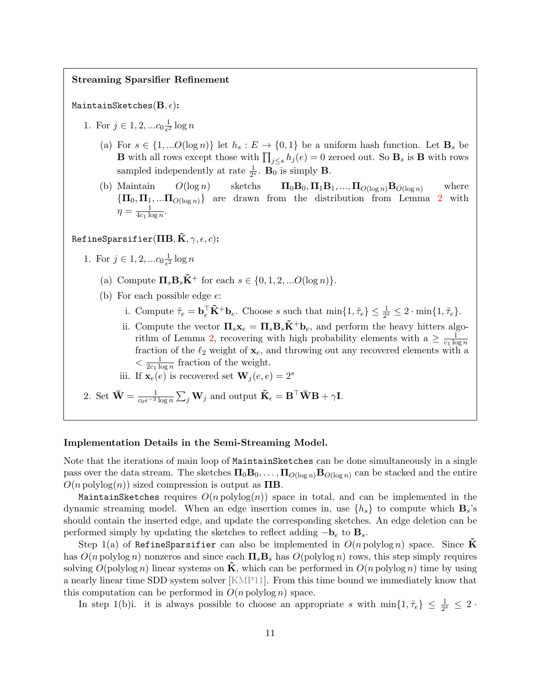### Streaming Sparsifier Refinement

#### MaintainSketches $(\mathbf{B}, \epsilon)$ :

- 1. For  $j \in 1, 2, ... c_0 \frac{1}{\epsilon^2}$  $\frac{1}{\epsilon^2} \log n$ 
	- (a) For  $s \in \{1, \ldots O(\log n)\}\$ let  $h_s : E \to \{0, 1\}$  be a uniform hash function. Let  $\mathbf{B}_s$  be **B** with all rows except those with  $\prod_{j\leq s} h_j(e) = 0$  zeroed out. So  $\mathbf{B}_s$  is **B** with rows sampled independently at rate  $\frac{1}{2^s}$ . **B**<sub>0</sub> is simply **B**.
	- (b) Maintain  $O(\log n)$  sketchs  $\Pi_0 \mathbf{B}_0, \Pi_1 \mathbf{B}_1, ..., \Pi_{O(\log n)} \mathbf{B}_{O(\log n)}$  where  ${\{\mathbf\Pi}_0, \mathbf\Pi_1, \dots, \mathbf{\Pi}_{O(\log n)}\}$  are drawn from the distribution from Lemma [2](#page-5-2) with  $\eta = \frac{1}{4c_1 \log n}$  $\frac{1}{4c_1 \log n}$ .

### RefineSparsifier( $\Pi$ B,  $\tilde{\mathbf{K}}$ ,  $\gamma$ ,  $\epsilon$ ,  $c$ ):

- 1. For  $j \in 1, 2, ... c_0 \frac{1}{\epsilon^2}$  $\frac{1}{\epsilon^2} \log n$ 
	- (a) Compute  $\Pi_s \mathbf{B}_s \tilde{\mathbf{K}}^+$  for each  $s \in \{0, 1, 2, ... O(\log n)\}.$
	- (b) For each possible edge e:
		- i. Compute  $\tilde{\tau}_e = \mathbf{b}_e^\top \tilde{\mathbf{K}}^+ \mathbf{b}_e$ . Choose s such that  $\min\{1, \tilde{\tau}_e\} \leq \frac{1}{2^s} \leq 2 \cdot \min\{1, \tilde{\tau}_e\}.$
		- ii. Compute the vector  $\Pi_s \mathbf{x}_e = \Pi_s \mathbf{B}_s \tilde{\mathbf{K}}^+ \mathbf{b}_e$ , and perform the heavy hitters algo-rithm of Lemma [2,](#page-5-2) recovering with high probability elements with  $a \geq \frac{1}{c_1 \log n}$  $\overline{c_1 \log n}$ fraction of the  $\ell_2$  weight of  $\mathbf{x}_e$ , and throwing out any recovered elements with a  $\langle \frac{1}{2c_1 \log n} \rangle$  $\frac{1}{2c_1 \log n}$  fraction of the weight.

iii. If 
$$
\mathbf{x}_e(e)
$$
 is recovered set  $\mathbf{W}_j(e,e) = 2^s$ 

2. Set  $\bar{\mathbf{W}} = \frac{1}{c_0 \epsilon^{-2} \log n} \sum_j \mathbf{W}_j$  and output  $\tilde{\mathbf{K}}_{\epsilon} = \mathbf{B}^{\top} \bar{\mathbf{W}} \mathbf{B} + \gamma \mathbf{I}$ .

#### Implementation Details in the Semi-Streaming Model.

Note that the iterations of main loop of MaintainSketches can be done simultaneously in a single pass over the data stream. The sketches  $\Pi_0B_0,\ldots,\Pi_{O(\log n)}B_{O(\log n)}$  can be stacked and the entire  $O(n \text{ polylog}(n))$  sized compression is output as  $\Pi$ B.

MaintainSketches requires  $O(n \text{ polylog}(n))$  space in total, and can be implemented in the dynamic streaming model. When an edge insertion comes in, use  $\{h_s\}$  to compute which  $\mathbf{B}_s$ 's should contain the inserted edge, and update the corresponding sketches. An edge deletion can be performed simply by updating the sketches to reflect adding  $-\mathbf{b}_e$  to  $\mathbf{B}_s$ .

Step 1(a) of RefineSparsifier can also be implemented in  $O(n \text{ polylog } n)$  space. Since K has  $O(n \text{ polylog } n)$  nonzeros and since each  $\Pi_s \mathbf{B}_s$  has  $O(\text{polylog } n)$  rows, this step simply requires solving  $O(polylog n)$  linear systems on  $\tilde{\mathbf{K}}$ , which can be performed in  $O(n polylog n)$  time by using a nearly linear time SDD system solver [\[KMP11\]](#page-21-9). From this time bound we immediately know that this computation can be performed in  $O(n \text{ polylog } n)$  space.

In step 1(b)i. it is always possible to choose an appropriate s with  $\min\{1, \tilde{\tau}_e\} \leq \frac{1}{2^s} \leq 2$ .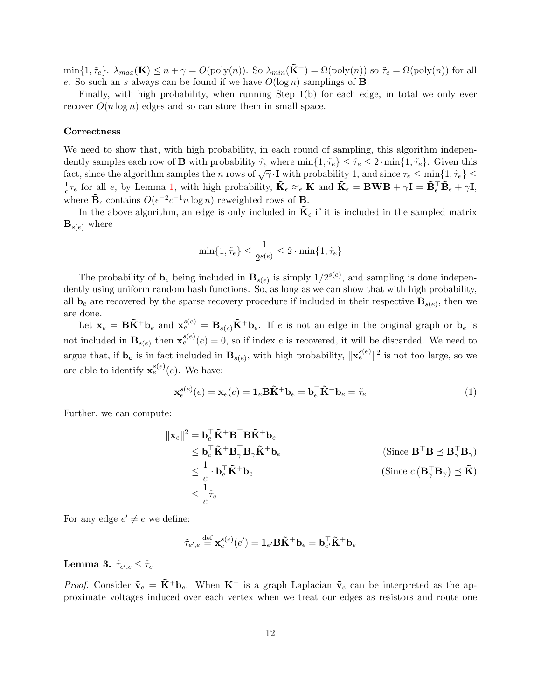$\min\{1,\tilde{\tau}_e\}.$   $\lambda_{max}(\mathbf{K}) \leq n + \gamma = O(\text{poly}(n)).$  So  $\lambda_{min}(\tilde{\mathbf{K}}^+) = \Omega(\text{poly}(n))$  so  $\tilde{\tau}_e = \Omega(\text{poly}(n))$  for all e. So such an s always can be found if we have  $O(\log n)$  samplings of **B**.

Finally, with high probability, when running Step 1(b) for each edge, in total we only ever recover  $O(n \log n)$  edges and so can store them in small space.

#### **Correctness**

We need to show that, with high probability, in each round of sampling, this algorithm independently samples each row of **B** with probability  $\hat{\tau}_e$  where  $\min\{1, \tilde{\tau}_e\} \leq \hat{\tau}_e \leq 2 \cdot \min\{1, \tilde{\tau}_e\}$ . Given this fact, since the algorithm samples the n rows of  $\sqrt{\gamma} \cdot \mathbf{I}$  with probability 1, and since  $\tau_e \le \min\{1, \tilde{\tau}_e\} \le$ 1  $\frac{1}{c}\tau_e$  for all e, by Lemma [1,](#page-5-1) with high probability,  $\tilde{\mathbf{K}}_{\epsilon} \approx_{\epsilon} \mathbf{K}$  and  $\tilde{\mathbf{K}}_{\epsilon} = \mathbf{B}\bar{\mathbf{W}}\mathbf{B} + \gamma \mathbf{I} = \tilde{\mathbf{B}}_{\epsilon}^{\top} \tilde{\mathbf{B}}_{\epsilon} + \gamma \mathbf{I}$ , where  $\tilde{\mathbf{B}}_{\epsilon}$  contains  $O(\epsilon^{-2}c^{-1}n\log n)$  reweighted rows of **B**.

In the above algorithm, an edge is only included in  $\mathbf{K}_{\epsilon}$  if it is included in the sampled matrix  $\mathbf{B}_{s(e)}$  where

$$
\min\{1,\tilde{\tau}_e\}\leq \frac{1}{2^{s(e)}}\leq 2\cdot \min\{1,\tilde{\tau}_e\}
$$

The probability of  $\mathbf{b}_e$  being included in  $\mathbf{B}_{s(e)}$  is simply  $1/2^{s(e)}$ , and sampling is done independently using uniform random hash functions. So, as long as we can show that with high probability, all  $\mathbf{b}_e$  are recovered by the sparse recovery procedure if included in their respective  $\mathbf{B}_{s(e)}$ , then we are done.

Let  $\mathbf{x}_e = \mathbf{B}\tilde{\mathbf{K}}^+\mathbf{b}_e$  and  $\mathbf{x}_e^{s(e)} = \mathbf{B}_{s(e)}\tilde{\mathbf{K}}^+\mathbf{b}_e$ . If e is not an edge in the original graph or  $\mathbf{b}_e$  is not included in  $\mathbf{B}_{s(e)}$  then  $\mathbf{x}_{e}^{s(e)}(e) = 0$ , so if index e is recovered, it will be discarded. We need to argue that, if  $\mathbf{b}_e$  is in fact included in  $\mathbf{B}_{s(e)}$ , with high probability,  $\|\mathbf{x}_e^{s(e)}\|^2$  is not too large, so we are able to identify  $\mathbf{x}_e^{s(e)}(e)$ . We have:

<span id="page-12-1"></span>
$$
\mathbf{x}_e^{s(e)}(e) = \mathbf{x}_e(e) = \mathbf{1}_e \mathbf{B} \tilde{\mathbf{K}}^+ \mathbf{b}_e = \mathbf{b}_e^\top \tilde{\mathbf{K}}^+ \mathbf{b}_e = \tilde{\tau}_e \tag{1}
$$

Further, we can compute:

$$
\|\mathbf{x}_{e}\|^{2} = \mathbf{b}_{e}^{\top} \tilde{\mathbf{K}}^{+} \mathbf{B}^{\top} \mathbf{B} \tilde{\mathbf{K}}^{+} \mathbf{b}_{e}
$$
  
\n
$$
\leq \mathbf{b}_{e}^{\top} \tilde{\mathbf{K}}^{+} \mathbf{B}_{\gamma}^{\top} \mathbf{B}_{\gamma} \tilde{\mathbf{K}}^{+} \mathbf{b}_{e}
$$
  
\n
$$
\leq \frac{1}{c} \cdot \mathbf{b}_{e}^{\top} \tilde{\mathbf{K}}^{+} \mathbf{b}_{e}
$$
  
\n(Since  $\mathbf{B}^{\top} \mathbf{B} \preceq \mathbf{B}_{\gamma}^{\top} \mathbf{B}_{\gamma}$ )  
\n(Since  $c (\mathbf{B}_{\gamma}^{\top} \mathbf{B}_{\gamma}) \preceq \tilde{\mathbf{K}}$ )  
\n
$$
\leq \frac{1}{c} \tilde{\tau}_{e}
$$

For any edge  $e' \neq e$  we define:

$$
\tilde{\tau}_{e',e} \stackrel{\text{def}}{=} \mathbf{x}_e^{s(e)}(e') = \mathbf{1}_{e'}\mathbf{B}\tilde{\mathbf{K}}^+\mathbf{b}_e = \mathbf{b}_{e'}^\top \tilde{\mathbf{K}}^+ \mathbf{b}_e
$$

### <span id="page-12-0"></span>Lemma 3.  $\tilde{\tau}_{e',e} \leq \tilde{\tau}_e$

*Proof.* Consider  $\tilde{\mathbf{v}}_e = \tilde{\mathbf{K}}^+ \mathbf{b}_e$ . When  $\mathbf{K}^+$  is a graph Laplacian  $\tilde{\mathbf{v}}_e$  can be interpreted as the approximate voltages induced over each vertex when we treat our edges as resistors and route one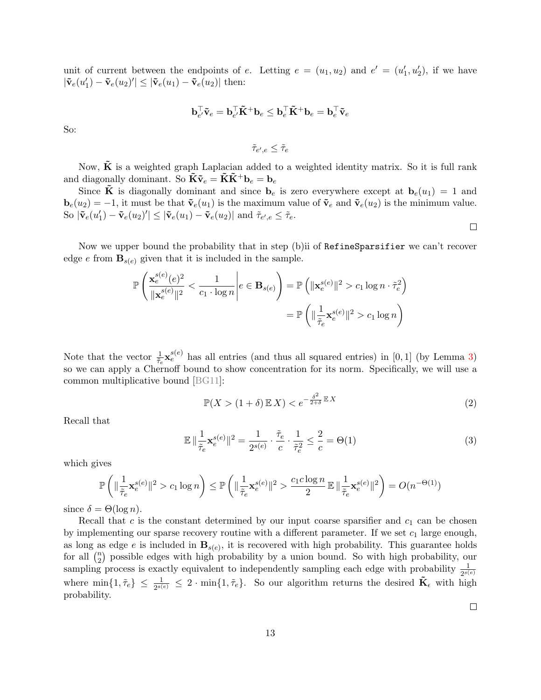unit of current between the endpoints of e. Letting  $e = (u_1, u_2)$  and  $e' = (u'_1, u'_2)$ , if we have  $|\tilde{\mathbf{v}}_e(u_1') - \tilde{\mathbf{v}}_e(u_2)'| \leq |\tilde{\mathbf{v}}_e(u_1) - \tilde{\mathbf{v}}_e(u_2)|$  then:

$$
\mathbf{b}_{e'}^\top \tilde{\mathbf{v}}_e = \mathbf{b}_{e'}^\top \tilde{\mathbf{K}}^+ \mathbf{b}_e \le \mathbf{b}_e^\top \tilde{\mathbf{K}}^+ \mathbf{b}_e = \mathbf{b}_e^\top \tilde{\mathbf{v}}_e
$$

So:

 $\tilde{\tau}_{e',e} \leq \tilde{\tau}_e$ 

Now,  $\tilde{\mathbf{K}}$  is a weighted graph Laplacian added to a weighted identity matrix. So it is full rank and diagonally dominant. So  $\tilde{\mathbf{K}} \tilde{\mathbf{v}}_e = \tilde{\mathbf{K}} \tilde{\mathbf{K}}^+ \mathbf{b}_e = \mathbf{b}_e$ 

Since  $\tilde{\mathbf{K}}$  is diagonally dominant and since  $\mathbf{b}_e$  is zero everywhere except at  $\mathbf{b}_e(u_1) = 1$  and  $\mathbf{b}_e(u_2) = -1$ , it must be that  $\tilde{\mathbf{v}}_e(u_1)$  is the maximum value of  $\tilde{\mathbf{v}}_e$  and  $\tilde{\mathbf{v}}_e(u_2)$  is the minimum value. So  $|\tilde{\mathbf{v}}_e(u_1') - \tilde{\mathbf{v}}_e(u_2)'| \leq |\tilde{\mathbf{v}}_e(u_1) - \tilde{\mathbf{v}}_e(u_2)|$  and  $\tilde{\tau}_{e',e} \leq \tilde{\tau}_e$ .

Now we upper bound the probability that in step (b)ii of RefineSparsifier we can't recover edge e from  $\mathbf{B}_{s(e)}$  given that it is included in the sample.

$$
\mathbb{P}\left(\frac{\mathbf{x}_{e}^{s(e)}(e)^{2}}{\|\mathbf{x}_{e}^{s(e)}\|^{2}} < \frac{1}{c_{1} \cdot \log n}\middle| e \in \mathbf{B}_{s(e)}\right) = \mathbb{P}\left(\|\mathbf{x}_{e}^{s(e)}\|^{2} > c_{1} \log n \cdot \tilde{\tau}_{e}^{2}\right)
$$
\n
$$
= \mathbb{P}\left(\|\frac{1}{\tilde{\tau}_{e}}\mathbf{x}_{e}^{s(e)}\|^{2} > c_{1} \log n\right)
$$

Note that the vector  $\frac{1}{\tilde{\tau}_e} \mathbf{x}_e^{s(e)}$  has all entries (and thus all squared entries) in [0, 1] (by Lemma [3\)](#page-12-0) so we can apply a Chernoff bound to show concentration for its norm. Specifically, we will use a common multiplicative bound [\[BG11\]](#page-21-10):

$$
\mathbb{P}(X > (1+\delta)\mathbb{E}X) < e^{-\frac{\delta^2}{2+\delta}\mathbb{E}X} \tag{2}
$$

Recall that

$$
\mathbb{E}\left\|\frac{1}{\tilde{\tau}_e}\mathbf{x}_e^{s(e)}\right\|^2 = \frac{1}{2^{s(e)}} \cdot \frac{\tilde{\tau}_e}{c} \cdot \frac{1}{\tilde{\tau}_e^2} \le \frac{2}{c} = \Theta(1)
$$
\n(3)

which gives

$$
\mathbb{P}\left(\|\frac{1}{\tilde{\tau}_e}\mathbf{x}_e^{s(e)}\|^2 > c_1\log n\right) \leq \mathbb{P}\left(\|\frac{1}{\tilde{\tau}_e}\mathbf{x}_e^{s(e)}\|^2 > \frac{c_1c\log n}{2}\, \mathbb{E}\,\|\frac{1}{\tilde{\tau}_e}\mathbf{x}_e^{s(e)}\|^2 \right) = O(n^{-\Theta(1)})
$$

since  $\delta = \Theta(\log n)$ .

Recall that c is the constant determined by our input coarse sparsifier and  $c_1$  can be chosen by implementing our sparse recovery routine with a different parameter. If we set  $c_1$  large enough, as long as edge e is included in  $\mathbf{B}_{s(e)}$ , it is recovered with high probability. This guarantee holds for all  $\binom{n}{2}$  $n<sub>2</sub>$ ) possible edges with high probability by a union bound. So with high probability, our sampling process is exactly equivalent to independently sampling each edge with probability  $\frac{1}{2^{s(e)}}$ where  $\min\{1,\tilde{\tau}_e\} \leq \frac{1}{2^{s(e)}} \leq 2 \cdot \min\{1,\tilde{\tau}_e\}$ . So our algorithm returns the desired  $\tilde{\mathbf{K}}_{\epsilon}$  with high probability.

 $\Box$ 

 $\Box$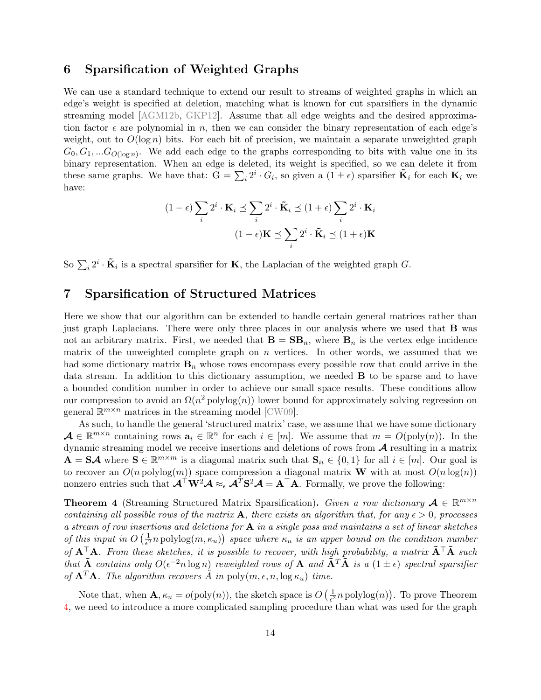### <span id="page-14-0"></span>6 Sparsification of Weighted Graphs

We can use a standard technique to extend our result to streams of weighted graphs in which an edge's weight is specified at deletion, matching what is known for cut sparsifiers in the dynamic streaming model [\[AGM12b,](#page-21-4) [GKP12\]](#page-21-7). Assume that all edge weights and the desired approximation factor  $\epsilon$  are polynomial in n, then we can consider the binary representation of each edge's weight, out to  $O(\log n)$  bits. For each bit of precision, we maintain a separate unweighted graph  $G_0, G_1, ... G_{O(\log n)}$ . We add each edge to the graphs corresponding to bits with value one in its binary representation. When an edge is deleted, its weight is specified, so we can delete it from these same graphs. We have that:  $G = \sum_i 2^i \cdot G_i$ , so given a  $(1 \pm \epsilon)$  sparsifier  $\tilde{\mathbf{K}}_i$  for each  $\mathbf{K}_i$  we have:

$$
(1 - \epsilon) \sum_{i} 2^{i} \cdot \mathbf{K}_{i} \preceq \sum_{i} 2^{i} \cdot \tilde{\mathbf{K}}_{i} \preceq (1 + \epsilon) \sum_{i} 2^{i} \cdot \mathbf{K}_{i}
$$

$$
(1 - \epsilon) \mathbf{K} \preceq \sum_{i} 2^{i} \cdot \tilde{\mathbf{K}}_{i} \preceq (1 + \epsilon) \mathbf{K}
$$

So  $\sum_i 2^i \cdot \tilde{\mathbf{K}}_i$  is a spectral sparsifier for **K**, the Laplacian of the weighted graph G.

### <span id="page-14-1"></span>7 Sparsification of Structured Matrices

Here we show that our algorithm can be extended to handle certain general matrices rather than just graph Laplacians. There were only three places in our analysis where we used that B was not an arbitrary matrix. First, we needed that  $\mathbf{B} = \mathbf{S}\mathbf{B}_n$ , where  $\mathbf{B}_n$  is the vertex edge incidence matrix of the unweighted complete graph on  $n$  vertices. In other words, we assumed that we had some dictionary matrix  $B_n$  whose rows encompass every possible row that could arrive in the data stream. In addition to this dictionary assumption, we needed B to be sparse and to have a bounded condition number in order to achieve our small space results. These conditions allow our compression to avoid an  $\Omega(n^2 \text{polylog}(n))$  lower bound for approximately solving regression on general  $\mathbb{R}^{m \times n}$  matrices in the streaming model [\[CW09\]](#page-21-11).

As such, to handle the general 'structured matrix' case, we assume that we have some dictionary  $\mathcal{A} \in \mathbb{R}^{m \times n}$  containing rows  $a_i \in \mathbb{R}^n$  for each  $i \in [m]$ . We assume that  $m = O(\text{poly}(n))$ . In the dynamic streaming model we receive insertions and deletions of rows from  $A$  resulting in a matrix  $\mathbf{A} = \mathbf{S} \mathcal{A}$  where  $\mathbf{S} \in \mathbb{R}^{m \times m}$  is a diagonal matrix such that  $\mathbf{S}_{ii} \in \{0,1\}$  for all  $i \in [m]$ . Our goal is to recover an  $O(n \text{ polylog}(m))$  space compression a diagonal matrix **W** with at most  $O(n \log(n))$ nonzero entries such that  $\mathcal{A}^{\top}W^2\mathcal{A} \approx_{\epsilon} \mathcal{A}^T\mathbf{S}^2\mathcal{A} = \mathbf{A}^{\top}\mathbf{A}$ . Formally, we prove the following:

<span id="page-14-2"></span>**Theorem 4** (Streaming Structured Matrix Sparsification). Given a row dictionary  $A \in \mathbb{R}^{m \times n}$ containing all possible rows of the matrix **A**, there exists an algorithm that, for any  $\epsilon > 0$ , processes a stream of row insertions and deletions for  $A$  in a single pass and maintains a set of linear sketches of this input in  $O\left(\frac{1}{\epsilon^2}\right)$  $\frac{1}{\epsilon^2}$ n polylog $(m, \kappa_u)$  space where  $\kappa_u$  is an upper bound on the condition number of  $A^{\top}A$ . From these sketches, it is possible to recover, with high probability, a matrix  $\tilde{A}^{\top}\tilde{A}$  such that  $\tilde{A}$  contains only  $O(\epsilon^{-2} n \log n)$  reweighted rows of  $A$  and  $\tilde{A}^T \tilde{A}$  is a  $(1 \pm \epsilon)$  spectral sparsifier of  ${\bf A}^T{\bf A}$ . The algorithm recovers  $\tilde{A}$  in poly $(m, \epsilon, n, \log \kappa_u)$  time.

Note that, when  $\mathbf{A}, \kappa_u = o( \text{poly}(n)),$  the sketch space is  $O\left(\frac{1}{\epsilon^2}\right)$  $\frac{1}{\epsilon^2} n$  polylog $(n)$ ). To prove Theorem [4,](#page-14-2) we need to introduce a more complicated sampling procedure than what was used for the graph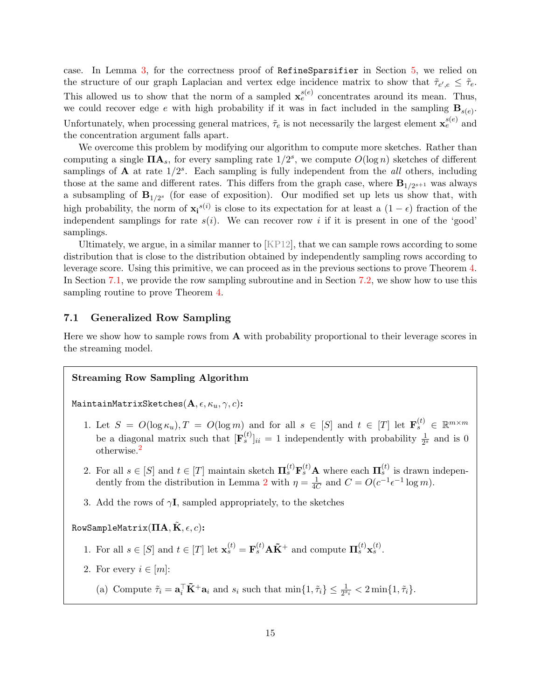case. In Lemma [3,](#page-12-0) for the correctness proof of RefineSparsifier in Section [5,](#page-10-0) we relied on the structure of our graph Laplacian and vertex edge incidence matrix to show that  $\tilde{\tau}_{e',e} \leq \tilde{\tau}_{e}$ . This allowed us to show that the norm of a sampled  $\mathbf{x}_{e}^{s(e)}$  concentrates around its mean. Thus, we could recover edge e with high probability if it was in fact included in the sampling  $\mathbf{B}_{s(e)}$ . Unfortunately, when processing general matrices,  $\tilde{\tau}_e$  is not necessarily the largest element  $\mathbf{x}_e^{s(e)}$  and the concentration argument falls apart.

We overcome this problem by modifying our algorithm to compute more sketches. Rather than computing a single  $\mathbf{\Pi} \mathbf{A}_s$ , for every sampling rate  $1/2^s$ , we compute  $O(\log n)$  sketches of different samplings of  $\bf{A}$  at rate  $1/2^s$ . Each sampling is fully independent from the *all* others, including those at the same and different rates. This differs from the graph case, where  $\mathbf{B}_{1/2^{s+1}}$  was always a subsampling of  $B_{1/2^{s}}$  (for ease of exposition). Our modified set up lets us show that, with high probability, the norm of  $\mathbf{x_i}^{s(i)}$  is close to its expectation for at least a  $(1 - \epsilon)$  fraction of the independent samplings for rate  $s(i)$ . We can recover row i if it is present in one of the 'good' samplings.

Ultimately, we argue, in a similar manner to [\[KP12\]](#page-22-4), that we can sample rows according to some distribution that is close to the distribution obtained by independently sampling rows according to leverage score. Using this primitive, we can proceed as in the previous sections to prove Theorem [4.](#page-14-2) In Section [7.1,](#page-15-0) we provide the row sampling subroutine and in Section [7.2,](#page-18-0) we show how to use this sampling routine to prove Theorem [4.](#page-14-2)

### <span id="page-15-0"></span>7.1 Generalized Row Sampling

Here we show how to sample rows from  $A$  with probability proportional to their leverage scores in the streaming model.

#### Streaming Row Sampling Algorithm

MaintainMatrixSketches( $A, \epsilon, \kappa_u, \gamma, c$ ):

- 1. Let  $S = O(\log \kappa_u)$ ,  $T = O(\log m)$  and for all  $s \in [S]$  and  $t \in [T]$  let  $\mathbf{F}_s^{(t)} \in \mathbb{R}^{m \times m}$ be a diagonal matrix such that  $[\mathbf{F}_s^{(t)}]_{ii} = 1$  independently with probability  $\frac{1}{2^s}$  and is 0 otherwise.[2](#page-16-0)
- 2. For all  $s \in [S]$  and  $t \in [T]$  maintain sketch  $\mathbf{\Pi}_s^{(t)} \mathbf{F}_s^{(t)} \mathbf{A}$  where each  $\mathbf{\Pi}_s^{(t)}$  is drawn indepen-dently from the distribution in Lemma [2](#page-5-2) with  $\eta = \frac{1}{40}$  $\frac{1}{4C}$  and  $C = O(c^{-1} \epsilon^{-1} \log m)$ .
- 3. Add the rows of  $\gamma I$ , sampled appropriately, to the sketches

### RowSampleMatrix( $\Pi$ **A**, **K**,  $\epsilon$ , *c*):

- 1. For all  $s \in [S]$  and  $t \in [T]$  let  $\mathbf{x}_s^{(t)} = \mathbf{F}_s^{(t)} \mathbf{A} \tilde{\mathbf{K}}^+$  and compute  $\mathbf{\Pi}_s^{(t)} \mathbf{x}_s^{(t)}$ .
- 2. For every  $i \in [m]$ :
	- (a) Compute  $\tilde{\tau}_i = \mathbf{a}_i^\top \tilde{\mathbf{K}}^+ \mathbf{a}_i$  and  $s_i$  such that  $\min\{1, \tilde{\tau}_i\} \leq \frac{1}{2^{s_i}} < 2 \min\{1, \tilde{\tau}_i\}.$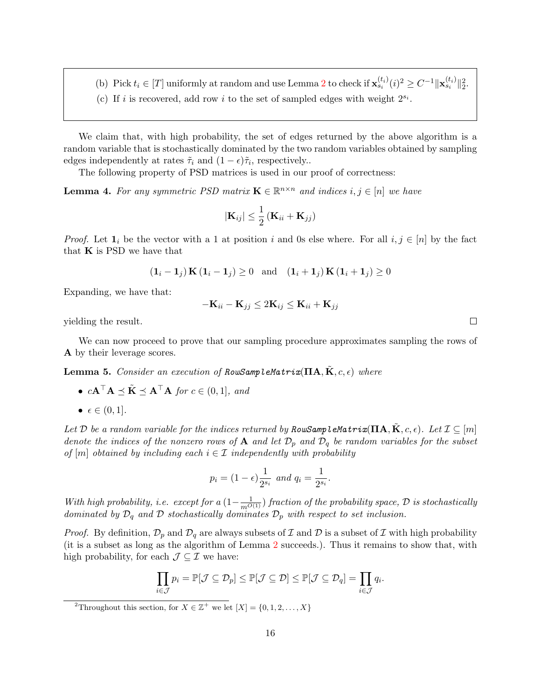- (b) Pick  $t_i \in [T]$  uniformly at random and use Lemma [2](#page-5-2) to check if  $\mathbf{x}_{s_i}^{(t_i)}(i)^2 \geq C^{-1} \|\mathbf{x}_{s_i}^{(t_i)}\|_2^2$ .
- (c) If i is recovered, add row i to the set of sampled edges with weight  $2^{s_i}$ .

We claim that, with high probability, the set of edges returned by the above algorithm is a random variable that is stochastically dominated by the two random variables obtained by sampling edges independently at rates  $\tilde{\tau}_i$  and  $(1 - \epsilon)\tilde{\tau}_i$ , respectively.

The following property of PSD matrices is used in our proof of correctness:

<span id="page-16-1"></span>**Lemma 4.** For any symmetric PSD matrix  $\mathbf{K} \in \mathbb{R}^{n \times n}$  and indices  $i, j \in [n]$  we have

$$
|\mathbf{K}_{ij}| \leq \frac{1}{2} \left( \mathbf{K}_{ii} + \mathbf{K}_{jj} \right)
$$

*Proof.* Let  $\mathbf{1}_i$  be the vector with a 1 at position i and 0s else where. For all  $i, j \in [n]$  by the fact that  $\bf{K}$  is PSD we have that

$$
(\mathbf{1}_i - \mathbf{1}_j) \mathbf{K} (\mathbf{1}_i - \mathbf{1}_j) \ge 0 \quad \text{and} \quad (\mathbf{1}_i + \mathbf{1}_j) \mathbf{K} (\mathbf{1}_i + \mathbf{1}_j) \ge 0
$$

Expanding, we have that:

$$
-{\bf K}_{ii}-{\bf K}_{jj} \leq 2{\bf K}_{ij} \leq {\bf K}_{ii}+{\bf K}_{jj}
$$

yielding the result.

We can now proceed to prove that our sampling procedure approximates sampling the rows of A by their leverage scores.

<span id="page-16-2"></span>**Lemma 5.** Consider an execution of RowSampleMatrix( $\Pi$ A,  $\tilde{\mathbf{K}}$ ,  $c$ ,  $\epsilon$ ) where

- $c\mathbf{A}^\top \mathbf{A} \prec \tilde{\mathbf{K}} \prec \mathbf{A}^\top \mathbf{A}$  for  $c \in (0, 1]$ , and
- $\epsilon \in (0,1].$

Let D be a random variable for the indices returned by RowSampleMatrix( $\mathbf{\Pi} \mathbf{A}, \tilde{\mathbf{K}}, c, \epsilon$ ). Let  $\mathcal{I} \subseteq [m]$ denote the indices of the nonzero rows of **A** and let  $\mathcal{D}_p$  and  $\mathcal{D}_q$  be random variables for the subset of  $[m]$  obtained by including each  $i \in \mathcal{I}$  independently with probability

$$
p_i = (1 - \epsilon) \frac{1}{2^{s_i}}
$$
 and  $q_i = \frac{1}{2^{s_i}}$ .

With high probability, i.e. except for a  $(1-\frac{1}{m^{O(1)}})$  fraction of the probability space,  $\mathcal D$  is stochastically dominated by  $\mathcal{D}_q$  and  $\mathcal D$  stochastically dominates  $\mathcal{D}_p$  with respect to set inclusion.

*Proof.* By definition,  $\mathcal{D}_p$  and  $\mathcal{D}_q$  are always subsets of  $\mathcal I$  and  $\mathcal D$  is a subset of  $\mathcal I$  with high probability (it is a subset as long as the algorithm of Lemma [2](#page-5-2) succeeds.). Thus it remains to show that, with high probability, for each  $\mathcal{J} \subseteq \mathcal{I}$  we have:

$$
\prod_{i\in\mathcal{J}}p_i=\mathbb{P}[\mathcal{J}\subseteq\mathcal{D}_p]\leq\mathbb{P}[\mathcal{J}\subseteq\mathcal{D}]\leq\mathbb{P}[\mathcal{J}\subseteq\mathcal{D}_q]=\prod_{i\in\mathcal{J}}q_i.
$$

<span id="page-16-0"></span><sup>2</sup>Throughout this section, for  $X \in \mathbb{Z}^+$  we let  $[X] = \{0, 1, 2, ..., X\}$ 

 $\Box$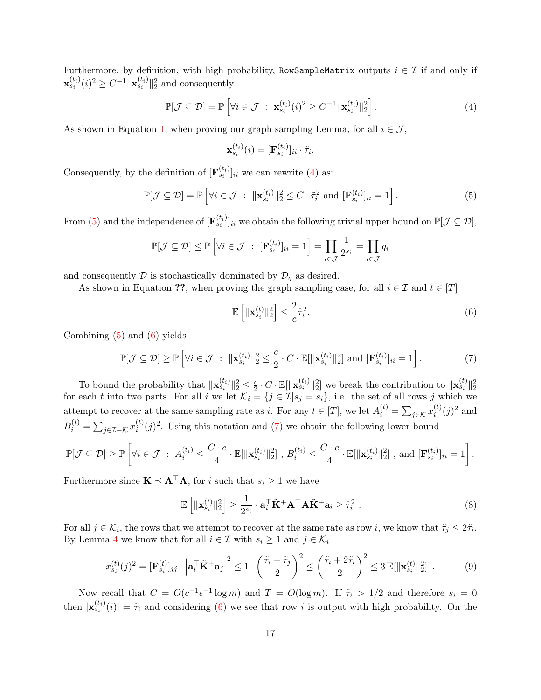Furthermore, by definition, with high probability, RowSampleMatrix outputs  $i \in \mathcal{I}$  if and only if  $\mathbf{x}_{s_i}^{(t_i)}(i)^2 \geq C^{-1} \|\mathbf{x}_{s_i}^{(t_i)}\|_2^2$  and consequently

<span id="page-17-0"></span>
$$
\mathbb{P}[\mathcal{J} \subseteq \mathcal{D}] = \mathbb{P}\left[\forall i \in \mathcal{J} \; : \; \mathbf{x}_{s_i}^{(t_i)}(i)^2 \ge C^{-1} \|\mathbf{x}_{s_i}^{(t_i)}\|_2^2\right].\tag{4}
$$

As shown in Equation [1,](#page-12-1) when proving our graph sampling Lemma, for all  $i \in \mathcal{J}$ ,

$$
\mathbf{x}_{s_i}^{(t_i)}(i) = [\mathbf{F}_{s_i}^{(t_i)}]_{ii} \cdot \tilde{\tau}_i.
$$

Consequently, by the definition of  $[\mathbf{F}_{s_i}^{(t_i)}]_{ii}$  we can rewrite [\(4\)](#page-17-0) as:

<span id="page-17-1"></span>
$$
\mathbb{P}[\mathcal{J} \subseteq \mathcal{D}] = \mathbb{P}\left[\forall i \in \mathcal{J} \; : \; \|\mathbf{x}_{s_i}^{(t_i)}\|_2^2 \leq C \cdot \tilde{\tau}_i^2 \text{ and } [\mathbf{F}_{s_i}^{(t_i)}]_{ii} = 1\right].\tag{5}
$$

From [\(5\)](#page-17-1) and the independence of  $[\mathbf{F}_{s_i}^{(t_i)}]_{ii}$  we obtain the following trivial upper bound on  $\mathbb{P}[\mathcal{J} \subseteq \mathcal{D}],$ 

$$
\mathbb{P}[\mathcal{J} \subseteq \mathcal{D}] \le \mathbb{P}\left[\forall i \in \mathcal{J} \ : \ [\mathbf{F}_{s_i}^{(t_i)}]_{ii} = 1\right] = \prod_{i \in \mathcal{J}} \frac{1}{2^{s_i}} = \prod_{i \in \mathcal{J}} q_i
$$

and consequently  $D$  is stochastically dominated by  $D_q$  as desired.

As shown in Equation ??, when proving the graph sampling case, for all  $i \in \mathcal{I}$  and  $t \in [T]$ 

<span id="page-17-2"></span>
$$
\mathbb{E}\left[\|\mathbf{x}_{s_i}^{(t)}\|_2^2\right] \le \frac{2}{c}\tilde{\tau}_i^2. \tag{6}
$$

Combining  $(5)$  and  $(6)$  yields

<span id="page-17-3"></span>
$$
\mathbb{P}[\mathcal{J} \subseteq \mathcal{D}] \ge \mathbb{P}\left[\forall i \in \mathcal{J} \; : \; \|\mathbf{x}_{s_i}^{(t_i)}\|_2^2 \le \frac{c}{2} \cdot C \cdot \mathbb{E}[\|\mathbf{x}_{s_i}^{(t_i)}\|_2^2] \text{ and } [\mathbf{F}_{s_i}^{(t_i)}]_{ii} = 1\right].\tag{7}
$$

To bound the probability that  $\|\mathbf{x}_{s_i}^{(t_i)}\|_2^2 \leq \frac{c}{2}$  $\frac{c}{2} \cdot C \cdot \mathbb{E}[\|\mathbf{x}_{s_i}^{(t_i)}\|_2^2]$  we break the contribution to  $\|\mathbf{x}_{s_i}^{(t)}\|_2^2$ for each t into two parts. For all i we let  $\mathcal{K}_i = \{j \in \mathcal{I} | s_j = s_i\}$ , i.e. the set of all rows j which we attempt to recover at the same sampling rate as i. For any  $t \in [T]$ , we let  $A_i^{(t)} = \sum_{j \in \mathcal{K}} x_i^{(t)}$  $i^{(t)}(j)^2$  and  $B_i^{(t)} = \sum_{j \in \mathcal{I} - \mathcal{K}} x_i^{(t)}$  $i^{(t)}(j)^2$ . Using this notation and [\(7\)](#page-17-3) we obtain the following lower bound  $\sqrt{ }$  $C\cdot c$  $C\cdot c$ 

$$
\mathbb{P}[\mathcal{J} \subseteq \mathcal{D}] \geq \mathbb{P}\left[\forall i \in \mathcal{J} \; : \; A_i^{(t_i)} \leq \frac{C \cdot c}{4} \cdot \mathbb{E}[\|\mathbf{x}_{s_i}^{(t_i)}\|_2^2], \; B_i^{(t_i)} \leq \frac{C \cdot c}{4} \cdot \mathbb{E}[\|\mathbf{x}_{s_i}^{(t_i)}\|_2^2], \text{ and } [\mathbf{F}_{s_i}^{(t_i)}]_{ii} = 1\right].
$$

Furthermore since  $\mathbf{K} \preceq \mathbf{A}^\top \mathbf{A}$ , for i such that  $s_i \geq 1$  we have

$$
\mathbb{E}\left[\|\mathbf{x}_{s_i}^{(t)}\|_2^2\right] \ge \frac{1}{2^{s_i}} \cdot \mathbf{a}_i^\top \tilde{\mathbf{K}}^+ \mathbf{A}^\top \mathbf{A} \tilde{\mathbf{K}}^+ \mathbf{a}_i \ge \tilde{\tau}_i^2 \tag{8}
$$

For all  $j \in \mathcal{K}_i$ , the rows that we attempt to recover at the same rate as row i, we know that  $\tilde{\tau}_j \leq 2\tilde{\tau}_i$ . By Lemma [4](#page-16-1) we know that for all  $i \in \mathcal{I}$  with  $s_i \geq 1$  and  $j \in \mathcal{K}_i$ 

<span id="page-17-4"></span>
$$
x_{s_i}^{(t)}(j)^2 = [\mathbf{F}_{s_i}^{(t)}]_{jj} \cdot \left| \mathbf{a}_i^\top \tilde{\mathbf{K}}^+ \mathbf{a}_j \right|^2 \le 1 \cdot \left( \frac{\tilde{\tau}_i + \tilde{\tau}_j}{2} \right)^2 \le \left( \frac{\tilde{\tau}_i + 2\tilde{\tau}_i}{2} \right)^2 \le 3 \mathbb{E}[\|\mathbf{x}_{s_i}^{(t)}\|_2^2] \tag{9}
$$

Now recall that  $C = O(c^{-1} \epsilon^{-1} \log m)$  and  $T = O(\log m)$ . If  $\tilde{\tau}_i > 1/2$  and therefore  $s_i = 0$ then  $|\mathbf{x}_{s_i}^{(t_i)}(i)| = \tilde{\tau}_i$  and considering [\(6\)](#page-17-2) we see that row i is output with high probability. On the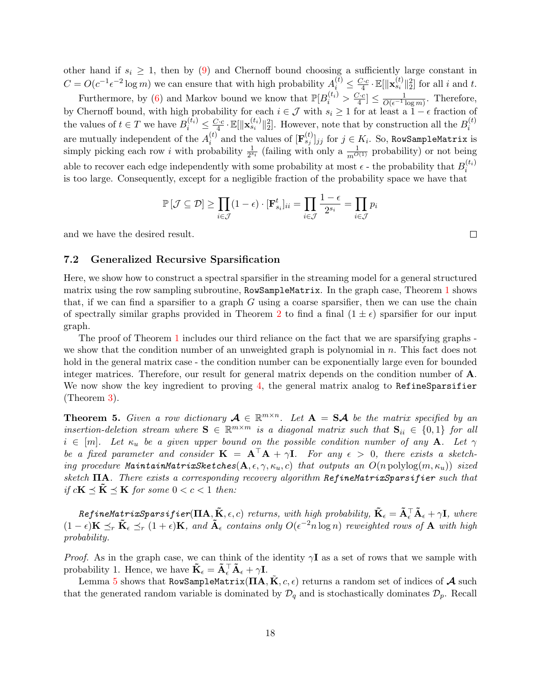other hand if  $s_i \geq 1$ , then by [\(9\)](#page-17-4) and Chernoff bound choosing a sufficiently large constant in  $C = O(c^{-1} \epsilon^{-2} \log m)$  we can ensure that with high probability  $A_i^{(t)} \leq \frac{C \cdot c}{4} \cdot \mathbb{E}[\|\mathbf{x}_{s_i}^{(t)}\|_2^2]$  for all i and t.  $\frac{1}{4}$  ·  $\mathbb{E}$ [|| $\mathbf{x}_{s_i}$  || $_2$ 

Furthermore, by [\(6\)](#page-17-2) and Markov bound we know that  $\mathbb{P}[B_i^{(t_i)} > \frac{C \cdot c_i}{4}]$  $\frac{\sum c}{4} \leq \frac{1}{O(\epsilon^{-1} \log m)}$ . Therefore, by Chernoff bound, with high probability for each  $i \in \mathcal{J}$  with  $s_i \geq 1$  for at least a  $1 - \epsilon$  fraction of the values of  $t \in T$  we have  $B_i^{(t_i)} \leq \frac{C \cdot c}{4}$  $\frac{\sum c_i}{4} \cdot \mathbb{E}[\|\mathbf{x}_{s_i}^{(t_i)}\|_2^2]$ . However, note that by construction all the  $B_i^{(t)}$ i are mutually independent of the  $A_i^{(t)}$  $i_j^{(t)}$  and the values of  $[\mathbf{F}_{s_j}^{(t)}]_{jj}$  for  $j \in K_i$ . So, RowSampleMatrix is simply picking each row i with probability  $\frac{1}{2^{s_i}}$  (failing with only a  $\frac{1}{m^{O(1)}}$  probability) or not being able to recover each edge independently with some probability at most  $\epsilon$  - the probability that  $B_i^{(t_i)}$ i is too large. Consequently, except for a negligible fraction of the probability space we have that

$$
\mathbb{P}\left[\mathcal{J}\subseteq\mathcal{D}\right] \ge \prod_{i\in\mathcal{J}}(1-\epsilon)\cdot[\mathbf{F}_{s_i}^t]_{ii} = \prod_{i\in\mathcal{J}}\frac{1-\epsilon}{2^{s_i}} = \prod_{i\in\mathcal{J}}p_i
$$

and we have the desired result.

### <span id="page-18-0"></span>7.2 Generalized Recursive Sparsification

Here, we show how to construct a spectral sparsifier in the streaming model for a general structured matrix using the row sampling subroutine, RowSampleMatrix. In the graph case, Theorem [1](#page-2-0) shows that, if we can find a sparsifier to a graph  $G$  using a coarse sparsifier, then we can use the chain of spectrally similar graphs provided in Theorem [2](#page-8-1) to find a final  $(1 \pm \epsilon)$  sparsifier for our input graph.

The proof of Theorem [1](#page-2-0) includes our third reliance on the fact that we are sparsifying graphs we show that the condition number of an unweighted graph is polynomial in  $n$ . This fact does not hold in the general matrix case - the condition number can be exponentially large even for bounded integer matrices. Therefore, our result for general matrix depends on the condition number of A. We now show the key ingredient to proving [4,](#page-14-2) the general matrix analog to RefineSparsifier (Theorem [3\)](#page-8-2).

**Theorem 5.** Given a row dictionary  $A \in \mathbb{R}^{m \times n}$ . Let  $A = S \mathcal{A}$  be the matrix specified by an insertion-deletion stream where  $S \in \mathbb{R}^{m \times m}$  is a diagonal matrix such that  $S_{ii} \in \{0,1\}$  for all  $i \in [m]$ . Let  $\kappa_u$  be a given upper bound on the possible condition number of any **A**. Let  $\gamma$ be a fixed parameter and consider  $\mathbf{K} = \mathbf{A}^{\top} \mathbf{A} + \gamma \mathbf{I}$ . For any  $\epsilon > 0$ , there exists a sketching procedure MaintainMatrixSketches( $A, \epsilon, \gamma, \kappa_u, c$ ) that outputs an  $O(n \text{ polylog}(m, \kappa_u))$  sized sketch  $\Pi$ A. There exists a corresponding recovery algorithm RefineMatrixSparsifier such that if  $c\mathbf{K} \preceq \tilde{\mathbf{K}} \preceq \mathbf{K}$  for some  $0 < c < 1$  then:

 $\textit{RefineMatrixSparsifier}(\mathbf{IIA},\mathbf{\tilde{K}},\epsilon,c)$  returns, with high probability,  $\mathbf{\tilde{K}}_{\epsilon}=\mathbf{\tilde{A}}_{\epsilon}^{\top} \mathbf{\tilde{A}}_{\epsilon}+\gamma \mathbf{I},$  where  $(1-\epsilon)\mathbf{K} \preceq_r \tilde{\mathbf{K}}_{\epsilon} \preceq_r (1+\epsilon)\mathbf{K}$ , and  $\tilde{\mathbf{A}}_{\epsilon}$  contains only  $O(\epsilon^{-2}n \log n)$  reweighted rows of  $\mathbf{A}$  with high probability.

*Proof.* As in the graph case, we can think of the identity  $\gamma I$  as a set of rows that we sample with probability 1. Hence, we have  $\tilde{\mathbf{K}}_{\epsilon} = \tilde{\mathbf{A}}_{\epsilon}^{\top} \tilde{\mathbf{A}}_{\epsilon} + \gamma \mathbf{I}$ .

Lemma [5](#page-16-2) shows that RowSampleMatrix( $\Pi A, K, c, \epsilon$ ) returns a random set of indices of  $\mathcal A$  such that the generated random variable is dominated by  $\mathcal{D}_q$  and is stochastically dominates  $\mathcal{D}_p$ . Recall

 $\Box$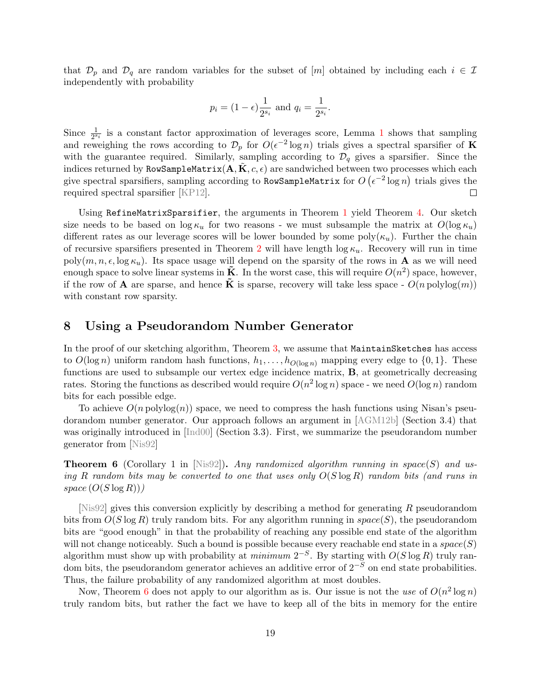that  $\mathcal{D}_p$  and  $\mathcal{D}_q$  are random variables for the subset of [m] obtained by including each  $i \in \mathcal{I}$ independently with probability

$$
p_i = (1 - \epsilon) \frac{1}{2^{s_i}}
$$
 and  $q_i = \frac{1}{2^{s_i}}$ .

Since  $\frac{1}{2^{s_i}}$  $\frac{1}{2^{s_i}}$  $\frac{1}{2^{s_i}}$  is a constant factor approximation of leverages score, Lemma 1 shows that sampling and reweighing the rows according to  $\mathcal{D}_p$  for  $O(\epsilon^{-2} \log n)$  trials gives a spectral sparsifier of **K** with the guarantee required. Similarly, sampling according to  $\mathcal{D}_q$  gives a sparsifier. Since the indices returned by RowSampleMatrix( $\mathbf{A}, \mathbf{K}, c, \epsilon$ ) are sandwiched between two processes which each give spectral sparsifiers, sampling according to RowSampleMatrix for  $O\left(\epsilon^{-2}\log n\right)$  trials gives the required spectral sparsifier [\[KP12\]](#page-22-4).  $\Box$ 

Using RefineMatrixSparsifier, the arguments in Theorem [1](#page-2-0) yield Theorem [4.](#page-14-2) Our sketch size needs to be based on  $\log \kappa_u$  for two reasons - we must subsample the matrix at  $O(\log \kappa_u)$ different rates as our leverage scores will be lower bounded by some poly $(\kappa_u)$ . Further the chain of recursive sparsifiers presented in Theorem [2](#page-8-1) will have length  $\log \kappa_u$ . Recovery will run in time poly $(m, n, \epsilon, \log \kappa_u)$ . Its space usage will depend on the sparsity of the rows in **A** as we will need enough space to solve linear systems in  $\tilde{\mathbf{K}}$ . In the worst case, this will require  $O(n^2)$  space, however, if the row of **A** are sparse, and hence  $\tilde{\mathbf{K}}$  is sparse, recovery will take less space -  $O(n \text{ polylog}(m))$ with constant row sparsity.

### <span id="page-19-0"></span>8 Using a Pseudorandom Number Generator

In the proof of our sketching algorithm, Theorem [3,](#page-8-2) we assume that MaintainSketches has access to  $O(\log n)$  uniform random hash functions,  $h_1, \ldots, h_{O(\log n)}$  mapping every edge to  $\{0, 1\}$ . These functions are used to subsample our vertex edge incidence matrix, B, at geometrically decreasing rates. Storing the functions as described would require  $O(n^2 \log n)$  space - we need  $O(\log n)$  random bits for each possible edge.

To achieve  $O(n \text{ polylog}(n))$  space, we need to compress the hash functions using Nisan's pseudorandom number generator. Our approach follows an argument in [\[AGM12b\]](#page-21-4) (Section 3.4) that was originally introduced in [\[Ind00\]](#page-21-12) (Section 3.3). First, we summarize the pseudorandom number generator from [\[Nis92\]](#page-22-12)

<span id="page-19-1"></span>**Theorem 6** (Corollary 1 in [\[Nis92\]](#page-22-12)). Any randomized algorithm running in space(S) and using R random bits may be converted to one that uses only  $O(S \log R)$  random bits (and runs in  $space (O(S \log R)))$ 

 $[Nis92]$  gives this conversion explicitly by describing a method for generating R pseudorandom bits from  $O(S \log R)$  truly random bits. For any algorithm running in  $space(S)$ , the pseudorandom bits are "good enough" in that the probability of reaching any possible end state of the algorithm will not change noticeably. Such a bound is possible because every reachable end state in a  $space(S)$ algorithm must show up with probability at *minimum*  $2^{-S}$ . By starting with  $O(S \log R)$  truly random bits, the pseudorandom generator achieves an additive error of  $2^{-S}$  on end state probabilities. Thus, the failure probability of any randomized algorithm at most doubles.

Now, Theorem [6](#page-19-1) does not apply to our algorithm as is. Our issue is not the use of  $O(n^2 \log n)$ truly random bits, but rather the fact we have to keep all of the bits in memory for the entire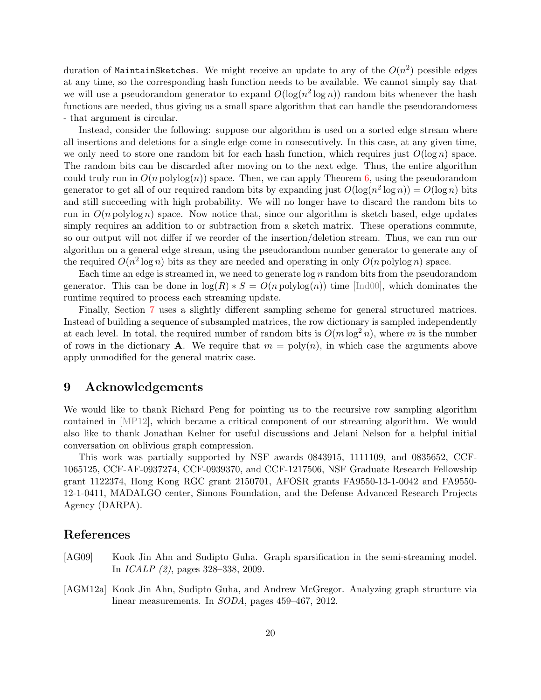duration of MaintainSketches. We might receive an update to any of the  $O(n^2)$  possible edges at any time, so the corresponding hash function needs to be available. We cannot simply say that we will use a pseudorandom generator to expand  $O(\log(n^2 \log n))$  random bits whenever the hash functions are needed, thus giving us a small space algorithm that can handle the pseudorandomess - that argument is circular.

Instead, consider the following: suppose our algorithm is used on a sorted edge stream where all insertions and deletions for a single edge come in consecutively. In this case, at any given time, we only need to store one random bit for each hash function, which requires just  $O(\log n)$  space. The random bits can be discarded after moving on to the next edge. Thus, the entire algorithm could truly run in  $O(n \text{ polylog}(n))$  space. Then, we can apply Theorem [6,](#page-19-1) using the pseudorandom generator to get all of our required random bits by expanding just  $O(\log(n^2 \log n)) = O(\log n)$  bits and still succeeding with high probability. We will no longer have to discard the random bits to run in  $O(n \text{ polylog } n)$  space. Now notice that, since our algorithm is sketch based, edge updates simply requires an addition to or subtraction from a sketch matrix. These operations commute, so our output will not differ if we reorder of the insertion/deletion stream. Thus, we can run our algorithm on a general edge stream, using the pseudorandom number generator to generate any of the required  $O(n^2 \log n)$  bits as they are needed and operating in only  $O(n \text{ polylog } n)$  space.

Each time an edge is streamed in, we need to generate  $\log n$  random bits from the pseudorandom generator. This can be done in  $log(R) * S = O(n \text{ polylog}(n))$  time [\[Ind00\]](#page-21-12), which dominates the runtime required to process each streaming update.

Finally, Section [7](#page-14-1) uses a slightly different sampling scheme for general structured matrices. Instead of building a sequence of subsampled matrices, the row dictionary is sampled independently at each level. In total, the required number of random bits is  $O(m \log^2 n)$ , where m is the number of rows in the dictionary **A**. We require that  $m = \text{poly}(n)$ , in which case the arguments above apply unmodified for the general matrix case.

### 9 Acknowledgements

We would like to thank Richard Peng for pointing us to the recursive row sampling algorithm contained in [\[MP12\]](#page-22-6), which became a critical component of our streaming algorithm. We would also like to thank Jonathan Kelner for useful discussions and Jelani Nelson for a helpful initial conversation on oblivious graph compression.

This work was partially supported by NSF awards 0843915, 1111109, and 0835652, CCF-1065125, CCF-AF-0937274, CCF-0939370, and CCF-1217506, NSF Graduate Research Fellowship grant 1122374, Hong Kong RGC grant 2150701, AFOSR grants FA9550-13-1-0042 and FA9550- 12-1-0411, MADALGO center, Simons Foundation, and the Defense Advanced Research Projects Agency (DARPA).

### References

- <span id="page-20-1"></span>[AG09] Kook Jin Ahn and Sudipto Guha. Graph sparsification in the semi-streaming model. In ICALP (2), pages 328–338, 2009.
- <span id="page-20-0"></span>[AGM12a] Kook Jin Ahn, Sudipto Guha, and Andrew McGregor. Analyzing graph structure via linear measurements. In SODA, pages 459–467, 2012.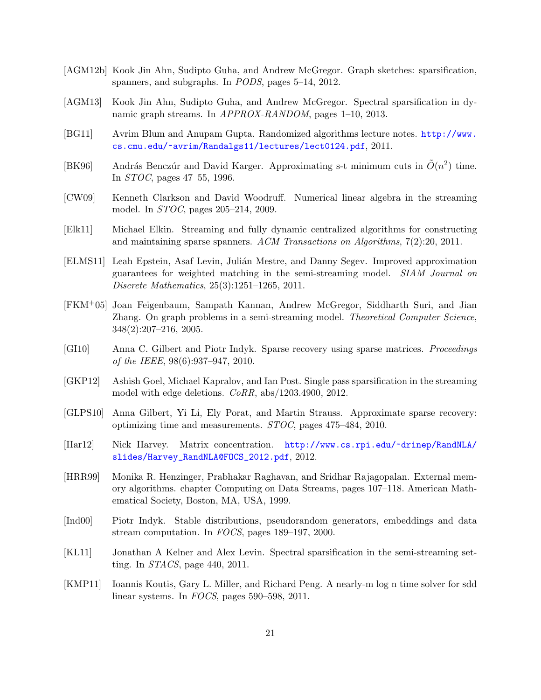- <span id="page-21-4"></span>[AGM12b] Kook Jin Ahn, Sudipto Guha, and Andrew McGregor. Graph sketches: sparsification, spanners, and subgraphs. In PODS, pages 5–14, 2012.
- <span id="page-21-8"></span>[AGM13] Kook Jin Ahn, Sudipto Guha, and Andrew McGregor. Spectral sparsification in dynamic graph streams. In APPROX-RANDOM, pages 1–10, 2013.
- <span id="page-21-10"></span>[BG11] Avrim Blum and Anupam Gupta. Randomized algorithms lecture notes. [http://www.](http://www.cs.cmu.edu/~avrim/Randalgs11/lectures/lect0124.pdf) [cs.cmu.edu/~avrim/Randalgs11/lectures/lect0124.pdf](http://www.cs.cmu.edu/~avrim/Randalgs11/lectures/lect0124.pdf), 2011.
- <span id="page-21-5"></span>[BK96] András Benczúr and David Karger. Approximating s-t minimum cuts in  $\tilde{O}(n^2)$  time. In STOC, pages 47–55, 1996.
- <span id="page-21-11"></span>[CW09] Kenneth Clarkson and David Woodruff. Numerical linear algebra in the streaming model. In STOC, pages 205–214, 2009.
- <span id="page-21-3"></span>[Elk11] Michael Elkin. Streaming and fully dynamic centralized algorithms for constructing and maintaining sparse spanners. ACM Transactions on Algorithms, 7(2):20, 2011.
- <span id="page-21-2"></span>[ELMS11] Leah Epstein, Asaf Levin, Julián Mestre, and Danny Segev. Improved approximation guarantees for weighted matching in the semi-streaming model. SIAM Journal on Discrete Mathematics, 25(3):1251–1265, 2011.
- <span id="page-21-1"></span>[FKM+05] Joan Feigenbaum, Sampath Kannan, Andrew McGregor, Siddharth Suri, and Jian Zhang. On graph problems in a semi-streaming model. Theoretical Computer Science, 348(2):207–216, 2005.
- <span id="page-21-14"></span>[GI10] Anna C. Gilbert and Piotr Indyk. Sparse recovery using sparse matrices. Proceedings of the IEEE, 98(6):937–947, 2010.
- <span id="page-21-7"></span>[GKP12] Ashish Goel, Michael Kapralov, and Ian Post. Single pass sparsification in the streaming model with edge deletions. CoRR, abs/1203.4900, 2012.
- <span id="page-21-15"></span>[GLPS10] Anna Gilbert, Yi Li, Ely Porat, and Martin Strauss. Approximate sparse recovery: optimizing time and measurements. STOC, pages 475–484, 2010.
- <span id="page-21-13"></span>[Har12] Nick Harvey. Matrix concentration. [http://www.cs.rpi.edu/~drinep/RandNLA/](http://www.cs.rpi.edu/~drinep/RandNLA/slides/Harvey_RandNLA@FOCS_2012.pdf) [slides/Harvey\\_RandNLA@FOCS\\_2012.pdf](http://www.cs.rpi.edu/~drinep/RandNLA/slides/Harvey_RandNLA@FOCS_2012.pdf), 2012.
- <span id="page-21-0"></span>[HRR99] Monika R. Henzinger, Prabhakar Raghavan, and Sridhar Rajagopalan. External memory algorithms. chapter Computing on Data Streams, pages 107–118. American Mathematical Society, Boston, MA, USA, 1999.
- <span id="page-21-12"></span>[Ind00] Piotr Indyk. Stable distributions, pseudorandom generators, embeddings and data stream computation. In FOCS, pages 189–197, 2000.
- <span id="page-21-6"></span>[KL11] Jonathan A Kelner and Alex Levin. Spectral sparsification in the semi-streaming setting. In STACS, page 440, 2011.
- <span id="page-21-9"></span>[KMP11] Ioannis Koutis, Gary L. Miller, and Richard Peng. A nearly-m log n time solver for sdd linear systems. In FOCS, pages 590–598, 2011.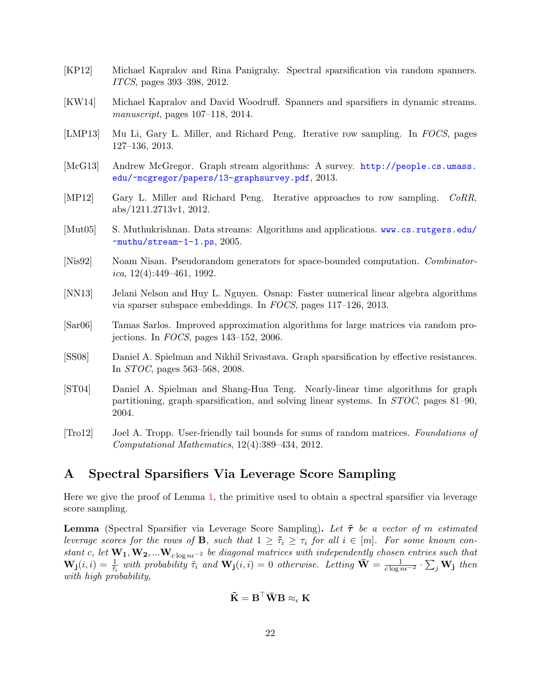- <span id="page-22-4"></span>[KP12] Michael Kapralov and Rina Panigrahy. Spectral sparsification via random spanners. ITCS, pages 393–398, 2012.
- <span id="page-22-3"></span>[KW14] Michael Kapralov and David Woodruff. Spanners and sparsifiers in dynamic streams. manuscript, pages 107–118, 2014.
- <span id="page-22-9"></span>[LMP13] Mu Li, Gary L. Miller, and Richard Peng. Iterative row sampling. In FOCS, pages 127–136, 2013.
- <span id="page-22-1"></span>[McG13] Andrew McGregor. Graph stream algorithms: A survey. [http://people.cs.umass.](http://people.cs.umass.edu/~mcgregor/papers/13-graphsurvey.pdf) [edu/~mcgregor/papers/13-graphsurvey.pdf](http://people.cs.umass.edu/~mcgregor/papers/13-graphsurvey.pdf), 2013.
- <span id="page-22-6"></span>[MP12] Gary L. Miller and Richard Peng. Iterative approaches to row sampling. CoRR, abs/1211.2713v1, 2012.
- <span id="page-22-0"></span>[Mut05] S. Muthukrishnan. Data streams: Algorithms and applications. [www.cs.rutgers.edu/](www.cs.rutgers.edu/~muthu/stream-1-1.ps) [~muthu/stream-1-1.ps](www.cs.rutgers.edu/~muthu/stream-1-1.ps), 2005.
- <span id="page-22-12"></span>[Nis92] Noam Nisan. Pseudorandom generators for space-bounded computation. Combinatorica,  $12(4)$ :449-461, 1992.
- <span id="page-22-8"></span>[NN13] Jelani Nelson and Huy L. Nguyen. Osnap: Faster numerical linear algebra algorithms via sparser subspace embeddings. In FOCS, pages 117–126, 2013.
- <span id="page-22-7"></span>[Sar06] Tamas Sarlos. Improved approximation algorithms for large matrices via random projections. In FOCS, pages 143–152, 2006.
- <span id="page-22-5"></span>[SS08] Daniel A. Spielman and Nikhil Srivastava. Graph sparsification by effective resistances. In STOC, pages 563–568, 2008.
- <span id="page-22-2"></span>[ST04] Daniel A. Spielman and Shang-Hua Teng. Nearly-linear time algorithms for graph partitioning, graph sparsification, and solving linear systems. In STOC, pages 81–90, 2004.
- <span id="page-22-10"></span>[Tro12] Joel A. Tropp. User-friendly tail bounds for sums of random matrices. Foundations of Computational Mathematics, 12(4):389–434, 2012.

## <span id="page-22-11"></span>A Spectral Sparsifiers Via Leverage Score Sampling

Here we give the proof of Lemma [1,](#page-5-1) the primitive used to obtain a spectral sparsifier via leverage score sampling.

**Lemma** (Spectral Sparsifier via Leverage Score Sampling). Let  $\tilde{\tau}$  be a vector of m estimated leverage scores for the rows of **B**, such that  $1 \geq \tilde{\tau}_i \geq \tau_i$  for all  $i \in [m]$ . For some known constant c, let  $W_1, W_2, ... W_{c \log n\epsilon^{-2}}$  be diagonal matrices with independently chosen entries such that  $\mathbf{W_j}(i,i) = \frac{1}{\tilde{\tau}_i}$  with probability  $\tilde{\tau}_i$  and  $\mathbf{W_j}(i,i) = 0$  otherwise. Letting  $\bar{\mathbf{W}} = \frac{1}{c \log n\epsilon^{-2}} \cdot \sum_j \mathbf{W_j}$  then with high probability,

$$
\tilde{\mathbf{K}} = \mathbf{B}^\top \bar{\mathbf{W}} \mathbf{B} \approx_{\epsilon} \mathbf{K}
$$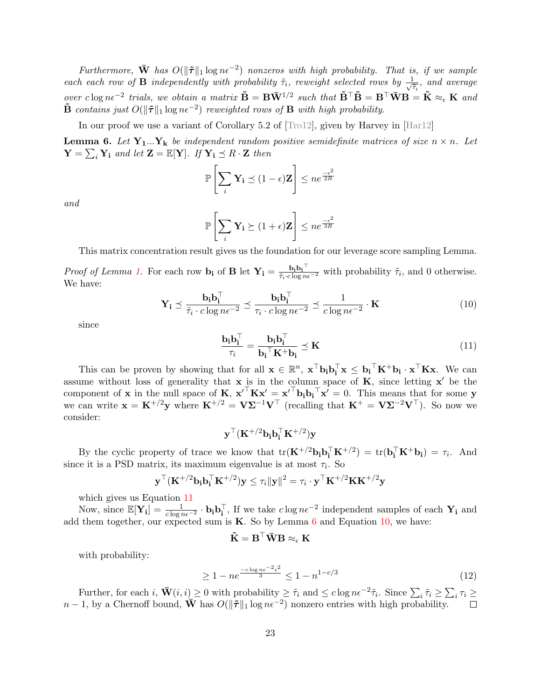Furthermore,  $\bar{W}$  has  $O(\|\tilde{\tau}\|_1 \log n\epsilon^{-2})$  nonzeros with high probability. That is, if we sample each each row of **B** independently with probability  $\tilde{\tau}_i$ , reweight selected rows by  $\frac{1}{\sqrt{2}}$  $\frac{1}{\tilde{\tau}_i}$ , and average over clog n $\epsilon^{-2}$  trials, we obtain a matrix  $\tilde{\mathbf{B}} = \mathbf{B} \bar{\mathbf{W}}^{1/2}$  such that  $\tilde{\mathbf{B}}^{\top} \tilde{\mathbf{B}} = \mathbf{B}^{\top} \bar{\mathbf{W}} \mathbf{B} = \tilde{\mathbf{K}} \approx_{\epsilon} \mathbf{K}$  and  $\tilde{\mathbf{B}}$  contains just  $O(\|\tilde{\boldsymbol{\tau}}\|_1 \log n\epsilon^{-2})$  reweighted rows of  $\mathbf{B}$  with high probability.

In our proof we use a variant of Corollary 5.2 of [\[Tro12\]](#page-22-10), given by Harvey in [\[Har12\]](#page-21-13)

<span id="page-23-1"></span>**Lemma 6.** Let  $Y_1...Y_k$  be independent random positive semidefinite matrices of size  $n \times n$ . Let  $\mathbf{Y} = \sum_i \mathbf{Y}_i$  and let  $\mathbf{Z} = \mathbb{E}[\mathbf{Y}]$ . If  $\mathbf{Y}_i \preceq R \cdot \mathbf{Z}$  then

$$
\mathbb{P}\left[\sum_{i} \mathbf{Y_i} \preceq (1 - \epsilon)\mathbf{Z}\right] \leq n e^{\frac{-\epsilon^2}{2R}}
$$

and

$$
\mathbb{P}\left[\sum_{i} \mathbf{Y_i} \succeq (1+\epsilon)\mathbf{Z}\right] \leq n e^{\frac{-\epsilon^2}{3R}}
$$

This matrix concentration result gives us the foundation for our leverage score sampling Lemma.

Proof of Lemma [1.](#page-5-1) For each row  $\mathbf{b_i}$  of **B** let  $\mathbf{Y_i} = \frac{\mathbf{b_i} \mathbf{b_i}^\top}{\tilde{\tau_i} \cdot c \log n \epsilon^{-2}}$  with probability  $\tilde{\tau_i}$ , and 0 otherwise. We have:

$$
\mathbf{Y_i} \preceq \frac{\mathbf{b_i} \mathbf{b_i}^\top}{\tilde{\tau}_i \cdot c \log n \epsilon^{-2}} \preceq \frac{\mathbf{b_i} \mathbf{b_i}^\top}{\tau_i \cdot c \log n \epsilon^{-2}} \preceq \frac{1}{c \log n \epsilon^{-2}} \cdot \mathbf{K}
$$
(10)

since

<span id="page-23-2"></span><span id="page-23-0"></span>
$$
\frac{\mathbf{b_i b_i^{\top}}}{\tau_i} = \frac{\mathbf{b_i b_i^{\top}}}{\mathbf{b_i^{\top}} \mathbf{K}^+ \mathbf{b_i}} \preceq \mathbf{K}
$$
\n(11)

This can be proven by showing that for all  $\mathbf{x} \in \mathbb{R}^n$ ,  $\mathbf{x}^\top \mathbf{b_i} \mathbf{b_i}^\top \mathbf{x} \leq \mathbf{b_i}^\top \mathbf{K}^+ \mathbf{b_i} \cdot \mathbf{x}^\top \mathbf{K} \mathbf{x}$ . We can assume without loss of generality that  $x$  is in the column space of  $K$ , since letting  $x'$  be the component of **x** in the null space of **K**,  $\mathbf{x}'^T \mathbf{K} \mathbf{x}' = {\mathbf{x}'}^T {\mathbf{b}}_i {\mathbf{b}}_i^T {\mathbf{x}}' = 0$ . This means that for some **y** we can write  $\mathbf{x} = \mathbf{K}^{+/2} \mathbf{y}$  where  $\mathbf{K}^{+/2} = \mathbf{V} \mathbf{\Sigma}^{-1} \mathbf{V}^\top$  (recalling that  $\mathbf{K}^+ = \mathbf{V} \mathbf{\Sigma}^{-2} \mathbf{V}^\top$ ). So now we consider:

$$
\mathbf{y}^\top (\mathbf{K}^{+/2} \mathbf{b_i} \mathbf{b_i^\top} \mathbf{K}^{+/2}) \mathbf{y}
$$

By the cyclic property of trace we know that  $tr(\mathbf{K}^{+/2}\mathbf{b_i}\mathbf{b_i}^{\top}\mathbf{K}^{+/2}) = tr(\mathbf{b_i}^{\top}\mathbf{K}^+\mathbf{b_i}) = \tau_i$ . And since it is a PSD matrix, its maximum eigenvalue is at most  $\tau_i$ . So

$$
\mathbf{y}^\top (\mathbf{K}^{+/2} \mathbf{b}_i \mathbf{b}_i^\top \mathbf{K}^{+/2}) \mathbf{y} \leq \tau_i \|\mathbf{y}\|^2 = \tau_i \cdot \mathbf{y}^\top \mathbf{K}^{+/2} \mathbf{K} \mathbf{K}^{+/2} \mathbf{y}
$$

which gives us Equation [11](#page-23-0)

Now, since  $\mathbb{E}[\mathbf{Y_i}] = \frac{1}{c \log n \epsilon^{-2}} \cdot \mathbf{b_i} \mathbf{b_i}^{\top}$ , If we take  $c \log n \epsilon^{-2}$  independent samples of each  $\mathbf{Y_i}$  and add them together, our expected sum is  $K$ . So by Lemma [6](#page-23-1) and Equation [10,](#page-23-2) we have:

$$
\tilde{\mathbf{K}} = \mathbf{B}^\top \bar{\mathbf{W}} \mathbf{B} \approx_{\epsilon} \mathbf{K}
$$

with probability:

$$
\geq 1 - ne^{\frac{-c \log n \epsilon^{-2} \epsilon^2}{3}} \leq 1 - n^{1 - c/3} \tag{12}
$$

Further, for each  $i$ ,  $\bar{\mathbf{W}}(i,i) \geq 0$  with probability  $\geq \tilde{\tau}_i$  and  $\leq c \log n \epsilon^{-2} \tilde{\tau}_i$ . Since  $\sum_i \tilde{\tau}_i \geq \sum_i \tau_i \geq 0$  $n-1$ , by a Chernoff bound,  $\overline{\mathbf{W}}$  has  $O(\|\tilde{\boldsymbol{\tau}}\|_1 \log n\epsilon^{-2})$  nonzero entries with high probability.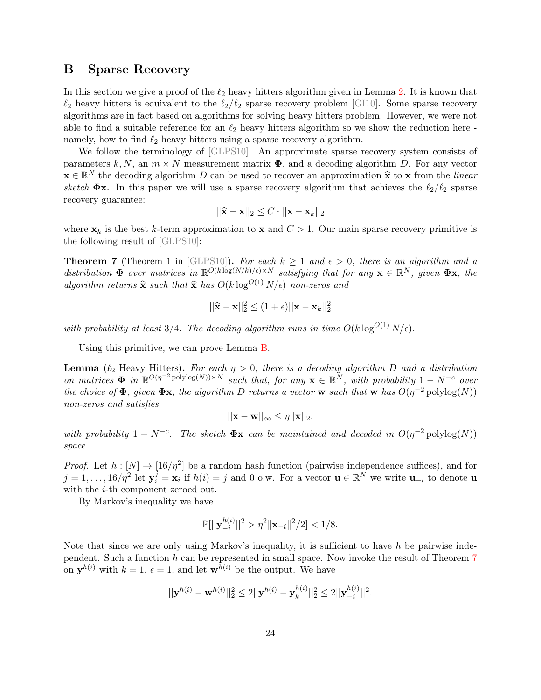### <span id="page-24-0"></span>B Sparse Recovery

In this section we give a proof of the  $\ell_2$  heavy hitters algorithm given in Lemma [2.](#page-5-2) It is known that  $\ell_2$  heavy hitters is equivalent to the  $\ell_2/\ell_2$  sparse recovery problem [\[GI10\]](#page-21-14). Some sparse recovery algorithms are in fact based on algorithms for solving heavy hitters problem. However, we were not able to find a suitable reference for an  $\ell_2$  heavy hitters algorithm so we show the reduction here namely, how to find  $\ell_2$  heavy hitters using a sparse recovery algorithm.

We follow the terminology of [\[GLPS10\]](#page-21-15). An approximate sparse recovery system consists of parameters k, N, an  $m \times N$  measurement matrix  $\Phi$ , and a decoding algorithm D. For any vector  $\mathbf{x} \in \mathbb{R}^N$  the decoding algorithm D can be used to recover an approximation  $\hat{\mathbf{x}}$  to  $\mathbf{x}$  from the linear sketch  $\Phi$ x. In this paper we will use a sparse recovery algorithm that achieves the  $\ell_2/\ell_2$  sparse recovery guarantee:

$$
||\hat{\mathbf{x}} - \mathbf{x}||_2 \leq C \cdot ||\mathbf{x} - \mathbf{x}_k||_2
$$

where  $x_k$  is the best k-term approximation to x and  $C > 1$ . Our main sparse recovery primitive is the following result of [\[GLPS10\]](#page-21-15):

<span id="page-24-1"></span>**Theorem 7** (Theorem 1 in [\[GLPS10\]](#page-21-15)). For each  $k \ge 1$  and  $\epsilon > 0$ , there is an algorithm and a distribution  $\Phi$  over matrices in  $\mathbb{R}^{O(k \log(N/k)/\epsilon) \times N}$  satisfying that for any  $\mathbf{x} \in \mathbb{R}^N$ , given  $\Phi \mathbf{x}$ , the algorithm returns  $\hat{\mathbf{x}}$  such that  $\hat{\mathbf{x}}$  has  $O(k \log^{O(1)} N/\epsilon)$  non-zeros and

$$
||\hat{\mathbf{x}} - \mathbf{x}||_2^2 \le (1 + \epsilon) ||\mathbf{x} - \mathbf{x}_k||_2^2
$$

with probability at least 3/4. The decoding algorithm runs in time  $O(k \log^{O(1)} N/\epsilon)$ .

Using this primitive, we can prove Lemma [B.](#page-24-0)

**Lemma** ( $\ell_2$  Heavy Hitters). For each  $\eta > 0$ , there is a decoding algorithm D and a distribution on matrices  $\Phi$  in  $\mathbb{R}^{O(\eta^{-2} \text{polylog}(N)) \times N}$  such that, for any  $\mathbf{x} \in \mathbb{R}^N$ , with probability  $1 - N^{-c}$  over the choice of  $\Phi$ , given  $\Phi$ x, the algorithm D returns a vector w such that w has  $O(\eta^{-2} \text{polylog}(N))$ non-zeros and satisfies

$$
||\mathbf{x} - \mathbf{w}||_{\infty} \leq \eta ||\mathbf{x}||_2.
$$

with probability  $1 - N^{-c}$ . The sketch  $\Phi$ **x** can be maintained and decoded in  $O(\eta^{-2} \text{polylog}(N))$ space.

*Proof.* Let  $h: [N] \to [16/\eta^2]$  be a random hash function (pairwise independence suffices), and for  $j = 1, \ldots, 16/\eta^2$  let  $y_i^j = x_i$  if  $h(i) = j$  and 0 o.w. For a vector  $\mathbf{u} \in \mathbb{R}^N$  we write  $\mathbf{u}_{-i}$  to denote  $\mathbf{u}$ with the *i*-th component zeroed out.

By Markov's inequality we have

$$
\mathbb{P}[||\mathbf{y}_{-i}^{h(i)}||^2 > \eta^2 ||\mathbf{x}_{-i}||^2/2] < 1/8.
$$

Note that since we are only using Markov's inequality, it is sufficient to have  $h$  be pairwise independent. Such a function  $h$  can be represented in small space. Now invoke the result of Theorem [7](#page-24-1) on  $y^{h(i)}$  with  $k = 1$ ,  $\epsilon = 1$ , and let  $w^{h(i)}$  be the output. We have

$$
||\mathbf{y}^{h(i)} - \mathbf{w}^{h(i)}||_2^2 \le 2||\mathbf{y}^{h(i)} - \mathbf{y}_k^{h(i)}||_2^2 \le 2||\mathbf{y}_{-i}^{h(i)}||^2.
$$